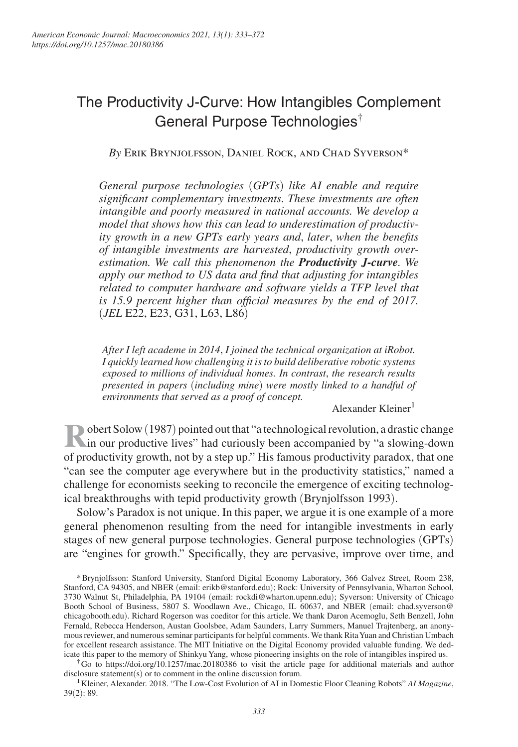# The Productivity J-Curve: How Intangibles Complement General Purpose Technologies†

*By* Erik Brynjolfsson, Daniel Rock, and Chad Syverson\*

*General purpose technologies* (*GPTs*) *like AI enable and require significant complementary investments. These investments are often intangible and poorly measured in national accounts. We develop a model that shows how this can lead to underestimation of productivity growth in a new GPTs early years and*, *later*, *when the benefits of intangible investments are harvested*, *productivity growth overestimation. We call this phenomenon the Productivity J-curve. We apply our method to US data and find that adjusting for intangibles related to computer hardware and software yields a TFP level that is 15.9 percent higher than official measures by the end of 2017.*  (*JEL* E22, E23, G31, L63, L86)

*After I left academe in 2014*, *I joined the technical organization at iRobot. I quickly learned how challenging it is to build deliberative robotic systems exposed to millions of individual homes. In contrast*, *the research results presented in papers* (*including mine*) *were mostly linked to a handful of environments that served as a proof of concept.*

Alexander Kleiner<sup>1</sup>

**R** obert Solow (1987) pointed out that "a technological revolution, a drastic change in our productive lives" had curiously been accompanied by "a slowing-down in our productive lives" had curiously been accompanied by "a slowing-down of productivity growth, not by a step up." His famous productivity paradox, that one "can see the computer age everywhere but in the productivity statistics," named a challenge for economists seeking to reconcile the emergence of exciting technological breakthroughs with tepid productivity growth (Brynjolfsson 1993).

Solow's Paradox is not unique. In this paper, we argue it is one example of a more general phenomenon resulting from the need for intangible investments in early stages of new general purpose technologies. General purpose technologies (GPTs) are "engines for growth." Specifically, they are pervasive, improve over time, and

\* Brynjolfsson: Stanford University, Stanford Digital Economy Laboratory, 366 Galvez Street, Room 238, Stanford, CA 94305, and NBER (email: erikb@stanford.edu); Rock: University of Pennsylvania, Wharton School, 3730 Walnut St, Philadelphia, PA 19104 (email: rockdi@wharton.upenn.edu); Syverson: University of Chicago Booth School of Business, 5807 S. Woodlawn Ave., Chicago, IL 60637, and NBER (email: chad.syverson@ chicagobooth.edu). Richard Rogerson was coeditor for this article. We thank Daron Acemoglu, Seth Benzell, John Fernald, Rebecca Henderson, Austan Goolsbee, Adam Saunders, Larry Summers, Manuel Trajtenberg, an anonymous reviewer, and numerous seminar participants for helpful comments. We thank Rita Yuan and Christian Umbach for excellent research assistance. The MIT Initiative on the Digital Economy provided valuable funding. We dedicate this paper to the memory of Shinkyu Yang, whose pioneering insights on the role of intangibles inspired us.

† Go to https://doi.org/10.1257/mac.20180386 to visit the article page for additional materials and author disclosure statement(s) or to comment in the online discussion forum.

<sup>1</sup>Kleiner, Alexander. 2018. "The Low-Cost Evolution of AI in Domestic Floor Cleaning Robots" *AI Magazine*, 39(2): 89.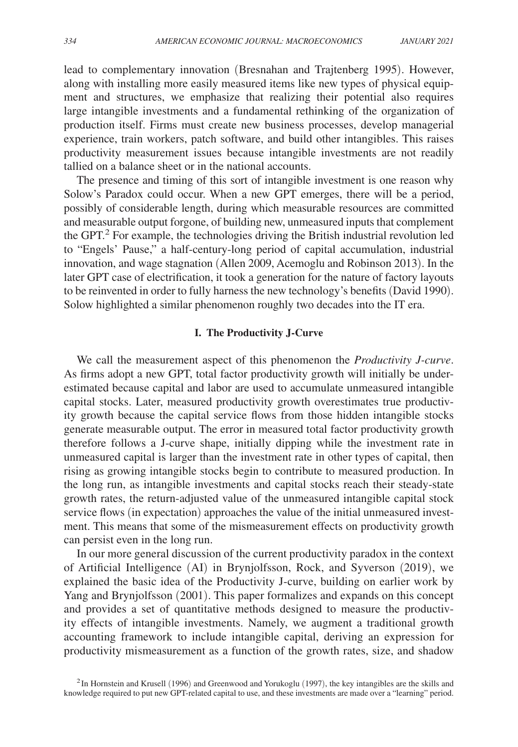lead to complementary innovation (Bresnahan and Trajtenberg 1995). However, along with installing more easily measured items like new types of physical equipment and structures, we emphasize that realizing their potential also requires large intangible investments and a fundamental rethinking of the organization of production itself. Firms must create new business processes, develop managerial experience, train workers, patch software, and build other intangibles. This raises productivity measurement issues because intangible investments are not readily tallied on a balance sheet or in the national accounts.

The presence and timing of this sort of intangible investment is one reason why Solow's Paradox could occur. When a new GPT emerges, there will be a period, possibly of considerable length, during which measurable resources are committed and measurable output forgone, of building new, unmeasured inputs that complement the GPT.<sup>2</sup> For example, the technologies driving the British industrial revolution led to "Engels' Pause," a half-century-long period of capital accumulation, industrial innovation, and wage stagnation (Allen 2009, Acemoglu and Robinson 2013). In the later GPT case of electrification, it took a generation for the nature of factory layouts to be reinvented in order to fully harness the new technology's benefits (David 1990). Solow highlighted a similar phenomenon roughly two decades into the IT era.

# **I. The Productivity J-Curve**

We call the measurement aspect of this phenomenon the *Productivity J-curve*. As firms adopt a new GPT, total factor productivity growth will initially be underestimated because capital and labor are used to accumulate unmeasured intangible capital stocks. Later, measured productivity growth overestimates true productivity growth because the capital service flows from those hidden intangible stocks generate measurable output. The error in measured total factor productivity growth therefore follows a J-curve shape, initially dipping while the investment rate in unmeasured capital is larger than the investment rate in other types of capital, then rising as growing intangible stocks begin to contribute to measured production. In the long run, as intangible investments and capital stocks reach their steady-state growth rates, the return-adjusted value of the unmeasured intangible capital stock service flows (in expectation) approaches the value of the initial unmeasured investment. This means that some of the mismeasurement effects on productivity growth can persist even in the long run.

In our more general discussion of the current productivity paradox in the context of Artificial Intelligence (AI) in Brynjolfsson, Rock, and Syverson (2019), we explained the basic idea of the Productivity J-curve, building on earlier work by Yang and Brynjolfsson (2001). This paper formalizes and expands on this concept and provides a set of quantitative methods designed to measure the productivity effects of intangible investments. Namely, we augment a traditional growth accounting framework to include intangible capital, deriving an expression for productivity mismeasurement as a function of the growth rates, size, and shadow

 $2$ In Hornstein and Krusell (1996) and Greenwood and Yorukoglu (1997), the key intangibles are the skills and knowledge required to put new GPT-related capital to use, and these investments are made over a "learning" period.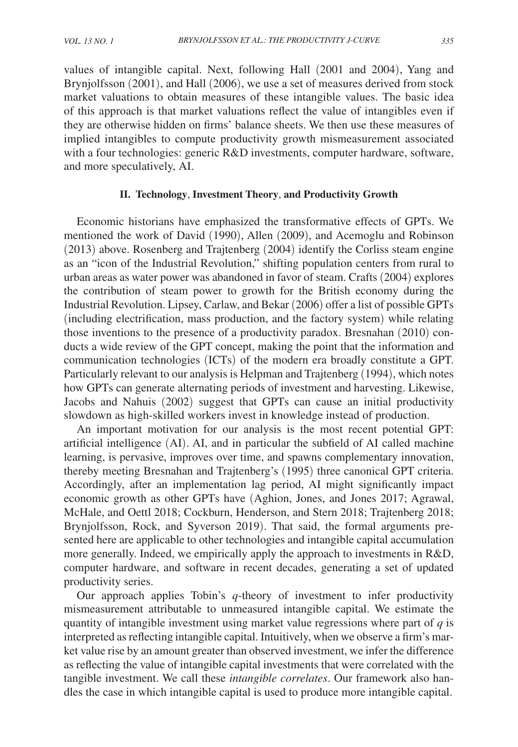values of intangible capital. Next, following Hall (2001 and 2004), Yang and Brynjolfsson (2001), and Hall (2006), we use a set of measures derived from stock market valuations to obtain measures of these intangible values. The basic idea of this approach is that market valuations reflect the value of intangibles even if they are otherwise hidden on firms' balance sheets. We then use these measures of implied intangibles to compute productivity growth mismeasurement associated with a four technologies: generic R&D investments, computer hardware, software, and more speculatively, AI.

# **II. Technology**, **Investment Theory**, **and Productivity Growth**

Economic historians have emphasized the transformative effects of GPTs. We mentioned the work of David (1990), Allen (2009), and Acemoglu and Robinson (2013) above. Rosenberg and Trajtenberg (2004) identify the Corliss steam engine as an "icon of the Industrial Revolution," shifting population centers from rural to urban areas as water power was abandoned in favor of steam. Crafts (2004) explores the contribution of steam power to growth for the British economy during the Industrial Revolution. Lipsey, Carlaw, and Bekar (2006) offer a list of possible GPTs (including electrification, mass production, and the factory system) while relating those inventions to the presence of a productivity paradox. Bresnahan (2010) conducts a wide review of the GPT concept, making the point that the information and communication technologies (ICTs) of the modern era broadly constitute a GPT. Particularly relevant to our analysis is Helpman and Trajtenberg (1994), which notes how GPTs can generate alternating periods of investment and harvesting. Likewise, Jacobs and Nahuis (2002) suggest that GPTs can cause an initial productivity slowdown as high-skilled workers invest in knowledge instead of production.

An important motivation for our analysis is the most recent potential GPT: artificial intelligence (AI). AI, and in particular the subfield of AI called machine learning, is pervasive, improves over time, and spawns complementary innovation, thereby meeting Bresnahan and Trajtenberg's (1995) three canonical GPT criteria. Accordingly, after an implementation lag period, AI might significantly impact economic growth as other GPTs have (Aghion, Jones, and Jones 2017; Agrawal, McHale, and Oettl 2018; Cockburn, Henderson, and Stern 2018; Trajtenberg 2018; Brynjolfsson, Rock, and Syverson 2019). That said, the formal arguments presented here are applicable to other technologies and intangible capital accumulation more generally. Indeed, we empirically apply the approach to investments in R&D, computer hardware, and software in recent decades, generating a set of updated productivity series.

Our approach applies Tobin's *q*-theory of investment to infer productivity mismeasurement attributable to unmeasured intangible capital. We estimate the quantity of intangible investment using market value regressions where part of *q* is interpreted as reflecting intangible capital. Intuitively, when we observe a firm's market value rise by an amount greater than observed investment, we infer the difference as reflecting the value of intangible capital investments that were correlated with the tangible investment. We call these *intangible correlates*. Our framework also handles the case in which intangible capital is used to produce more intangible capital.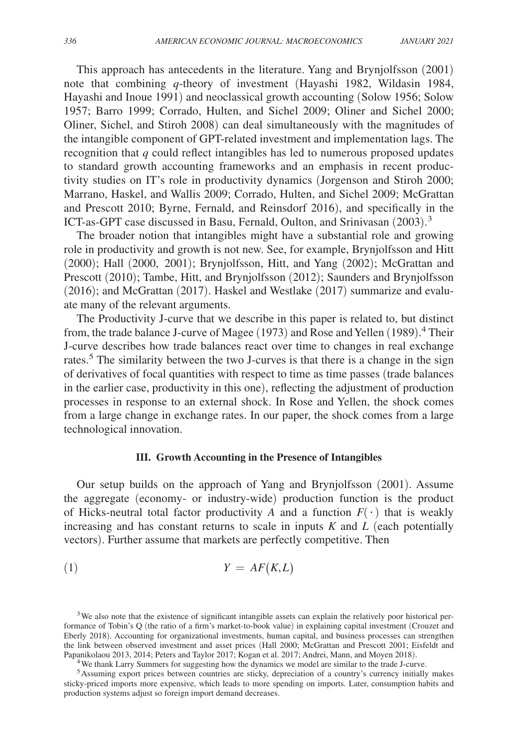This approach has antecedents in the literature. Yang and Brynjolfsson (2001) note that combining *q*-theory of investment (Hayashi 1982, Wildasin 1984, Hayashi and Inoue 1991) and neoclassical growth accounting (Solow 1956; Solow 1957; Barro 1999; Corrado, Hulten, and Sichel 2009; Oliner and Sichel 2000; Oliner, Sichel, and Stiroh 2008) can deal simultaneously with the magnitudes of the intangible component of GPT-related investment and implementation lags. The recognition that *q* could reflect intangibles has led to numerous proposed updates to standard growth accounting frameworks and an emphasis in recent productivity studies on IT's role in productivity dynamics (Jorgenson and Stiroh 2000; Marrano, Haskel, and Wallis 2009; Corrado, Hulten, and Sichel 2009; McGrattan and Prescott 2010; Byrne, Fernald, and Reinsdorf 2016), and specifically in the ICT-as-GPT case discussed in Basu, Fernald, Oulton, and Srinivasan (2003). 3

The broader notion that intangibles might have a substantial role and growing role in productivity and growth is not new. See, for example, Brynjolfsson and Hitt (2000); Hall (2000, 2001); Brynjolfsson, Hitt, and Yang (2002); McGrattan and Prescott (2010); Tambe, Hitt, and Brynjolfsson (2012); Saunders and Brynjolfsson (2016); and McGrattan (2017). Haskel and Westlake (2017) summarize and evaluate many of the relevant arguments.

The Productivity J-curve that we describe in this paper is related to, but distinct from, the trade balance J-curve of Magee (1973) and Rose and Yellen (1989).<sup>4</sup> Their J-curve describes how trade balances react over time to changes in real exchange rates.<sup>5</sup> The similarity between the two J-curves is that there is a change in the sign of derivatives of focal quantities with respect to time as time passes (trade balances in the earlier case, productivity in this one), reflecting the adjustment of production processes in response to an external shock. In Rose and Yellen, the shock comes from a large change in exchange rates. In our paper, the shock comes from a large technological innovation.

#### **III. Growth Accounting in the Presence of Intangibles**

Our setup builds on the approach of Yang and Brynjolfsson (2001). Assume the aggregate (economy- or industry-wide) production function is the product of Hicks-neutral total factor productivity *A* and a function  $F(\cdot)$  that is weakly increasing and has constant returns to scale in inputs *K* and *L* (each potentially vectors). Further assume that markets are perfectly competitive. Then

$$
(1) \t\t Y = AF(K, L)
$$

<sup>4</sup>We thank Larry Summers for suggesting how the dynamics we model are similar to the trade J-curve.

<sup>&</sup>lt;sup>3</sup>We also note that the existence of significant intangible assets can explain the relatively poor historical performance of Tobin's Q (the ratio of a firm's market-to-book value) in explaining capital investment (Crouzet and Eberly 2018). Accounting for organizational investments, human capital, and business processes can strengthen the link between observed investment and asset prices (Hall 2000; McGrattan and Prescott 2001; Eisfeldt and Papanikolaou 2013, 2014; Peters and Taylor 2017; Kogan et al. 2017; Andrei, Mann, and Moyen 2018).

<sup>5</sup>Assuming export prices between countries are sticky, depreciation of a country's currency initially makes sticky-priced imports more expensive, which leads to more spending on imports. Later, consumption habits and production systems adjust so foreign import demand decreases.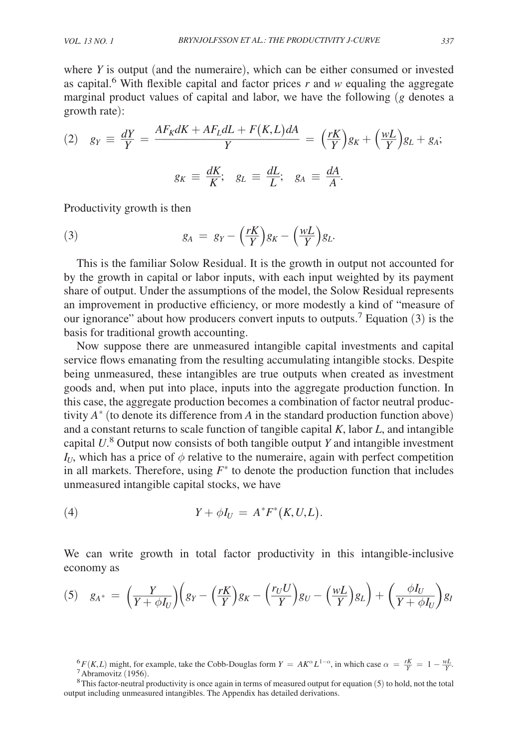where *Y* is output (and the numeraire), which can be either consumed or invested as capital.<sup>6</sup> With flexible capital and factor prices  $r$  and  $w$  equaling the aggregate growth rate):

marginal product values of capital and labor, we have the following (g denotes a  
growth rate):  
\n(2) 
$$
g_Y \equiv \frac{dY}{Y} = \frac{AF_K dK + AF_L dL + F(K, L) dA}{Y} = \left(\frac{rK}{Y}\right) g_K + \left(\frac{wL}{Y}\right) g_L + g_A;
$$
  
\n $g_K \equiv \frac{dK}{K}; \quad g_L \equiv \frac{dL}{L}; \quad g_A \equiv \frac{dA}{A}.$ 

Productivity growth is then

(3) 
$$
g_A = g_Y - \left(\frac{rK}{Y}\right)g_K - \left(\frac{wL}{Y}\right)g_L.
$$

This is the familiar Solow Residual. It is the growth in output not accounted for by the growth in capital or labor inputs, with each input weighted by its payment share of output. Under the assumptions of the model, the Solow Residual represents an improvement in productive efficiency, or more modestly a kind of "measure of our ignorance" about how producers convert inputs to outputs.<sup>7</sup> Equation (3) is the basis for traditional growth accounting.

Now suppose there are unmeasured intangible capital investments and capital service flows emanating from the resulting accumulating intangible stocks. Despite being unmeasured, these intangibles are true outputs when created as investment goods and, when put into place, inputs into the aggregate production function. In this case, the aggregate production becomes a combination of factor neutral productivity  $A^*$  (to denote its difference from  $A$  in the standard production function above) and a constant returns to scale function of tangible capital *K*, labor *L*, and intangible capital *U*. 8 Output now consists of both tangible output *Y* and intangible investment  $I_{U}$ , which has a price of  $\phi$  relative to the numeraire, again with perfect competition in all markets. Therefore, using  $F^*$  to denote the production function that includes unmeasured intangible capital stocks, we have

$$
(4) \tY + \phi I_U = A^* F^*(K, U, L).
$$

We can write growth in total factor productivity in this intangible-inclusive economy as

$$
(5) \quad g_{A^*} = \left(\frac{Y}{Y + \phi I_U}\right)\left(g_Y - \left(\frac{rK}{Y}\right)g_K - \left(\frac{r_U U}{Y}\right)g_U - \left(\frac{wL}{Y}\right)g_L\right) + \left(\frac{\phi I_U}{Y + \phi I_U}\right)g_I
$$

 ${}^6F(K,L)$  might, for example, take the Cobb-Douglas form  $Y = AK^\alpha L^{1-\alpha}$ , in which case  $\alpha = \frac{rK}{Y} = 1 - \frac{wL}{Y}$ .  $^7$ Abramovitz (1956).

 $8$ This factor-neutral productivity is once again in terms of measured output for equation (5) to hold, not the total output including unmeasured intangibles. The Appendix has detailed derivations.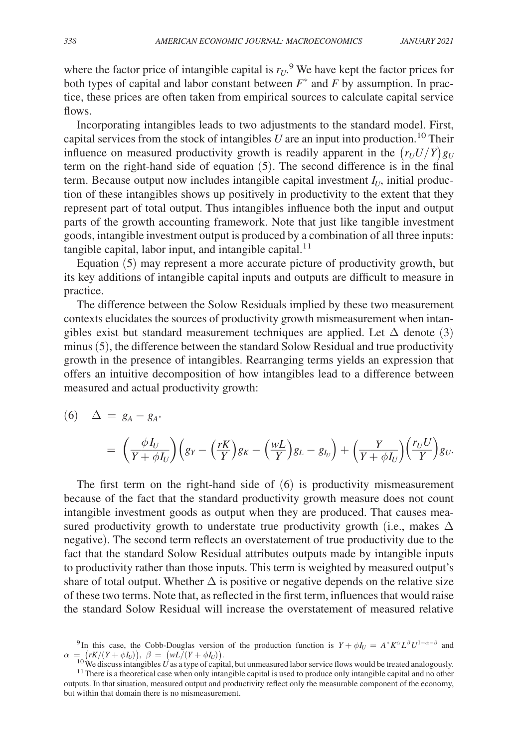where the factor price of intangible capital is  $r_U$ .<sup>9</sup> We have kept the factor prices for both types of capital and labor constant between  $F^*$  and  $F$  by assumption. In practice, these prices are often taken from empirical sources to calculate capital service flows.

Incorporating intangibles leads to two adjustments to the standard model. First, capital services from the stock of intangibles  $U$  are an input into production.<sup>10</sup> Their influence on measured productivity growth is readily apparent in the  $(r_U U/Y)g_U$ term on the right-hand side of equation (5). The second difference is in the final term. Because output now includes intangible capital investment  $I_U$ , initial production of these intangibles shows up positively in productivity to the extent that they represent part of total output. Thus intangibles influence both the input and output parts of the growth accounting framework. Note that just like tangible investment goods, intangible investment output is produced by a combination of all three inputs: tangible capital, labor input, and intangible capital. $11$ 

Equation (5) may represent a more accurate picture of productivity growth, but its key additions of intangible capital inputs and outputs are difficult to measure in practice.

The difference between the Solow Residuals implied by these two measurement contexts elucidates the sources of productivity growth mismeasurement when intangibles exist but standard measurement techniques are applied. Let  $\Delta$  denote (3) minus (5), the difference between the standard Solow Residual and true productivity growth in the presence of intangibles. Rearranging terms yields an expression that offers an intuitive decomposition of how intangibles lead to a difference between measured and actual productivity growth:

(6) 
$$
\Delta = g_A - g_{A^*}
$$
  
=  $\left(\frac{\phi I_U}{Y + \phi I_U}\right) \left(g_Y - \left(\frac{rK}{Y}\right)g_K - \left(\frac{wL}{Y}\right)g_L - g_{I_U}\right) + \left(\frac{Y}{Y + \phi I_U}\right) \left(\frac{r_U U}{Y}\right)g_U.$ 

The first term on the right-hand side of  $(6)$  is productivity mismeasurement because of the fact that the standard productivity growth measure does not count intangible investment goods as output when they are produced. That causes measured productivity growth to understate true productivity growth (i.e., makes  $\Delta$  negative). The second term reflects an overstatement of true productivity due to the fact that the standard Solow Residual attributes outputs made by intangible inputs to productivity rather than those inputs. This term is weighted by measured output's share of total output. Whether  $\Delta$  is positive or negative depends on the relative size of these two terms. Note that, as reflected in the first term, influences that would raise the standard Solow Residual will increase the overstatement of measured relative

<sup>9</sup>In this case, the Cobb-Douglas version of the production function is  $Y + \phi I_U = A^* K^\alpha L^\beta U^{1-\alpha-\beta}$  and  $\alpha = (rK/(Y + \phi I_U)), \ \beta = (wL/(Y + \phi I_U)).$ 

<sup>&</sup>lt;sup>10</sup>We discuss intangibles *U* as a type of capital, but unmeasured labor service flows would be treated analogously. <sup>11</sup> There is a theoretical case when only intangible capital is used to produce only intangible capital and no other outputs. In that situation, measured output and productivity reflect only the measurable component of the economy, but within that domain there is no mismeasurement.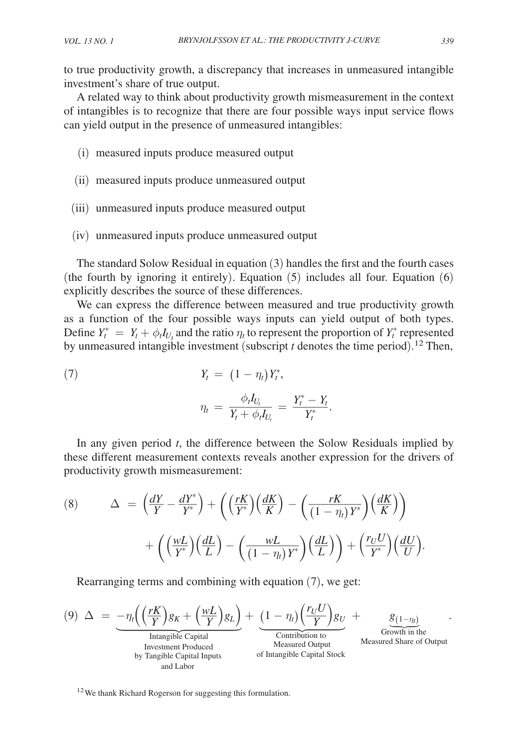to true productivity growth, a discrepancy that increases in unmeasured intangible investment's share of true output.

A related way to think about productivity growth mismeasurement in the context of intangibles is to recognize that there are four possible ways input service flows can yield output in the presence of unmeasured intangibles:

- (i) measured inputs produce measured output
- (ii) measured inputs produce unmeasured output
- (iii) unmeasured inputs produce measured output
- (iv) unmeasured inputs produce unmeasured output

The standard Solow Residual in equation (3) handles the first and the fourth cases (the fourth by ignoring it entirely). Equation (5) includes all four. Equation (6) explicitly describes the source of these differences.

We can express the difference between measured and true productivity growth as a function of the four possible ways inputs can yield output of both types. Define  $Y_t^* = Y_t + \phi_t I_{U_t}$  and the ratio  $\eta_t$  to represent the proportion of  $Y_t^*$  represented by unmeasured intangible investment (subscript  $t$  denotes the time period).<sup>12</sup> Then,

(7) 
$$
Y_t = (1 - \eta_t) Y_t^*,
$$

$$
P_t = \frac{\phi_t I_{U_t}}{\phi_t}
$$

$$
\eta_t \,=\, \frac{\phi_t I_{U_t}}{Y_t+\phi_t I_{U_t}} \,=\, \frac{Y^*_t-Y_t}{Y^*_t}.
$$

In any given period *t* , the difference between the Solow Residuals implied by these different measurement contexts reveals another expression for the drivers of productivity growth mismeasurement:

(8) 
$$
\Delta = \left(\frac{dY}{Y} - \frac{dY^*}{Y^*}\right) + \left(\left(\frac{rK}{Y^*}\right)\left(\frac{dK}{K}\right) - \left(\frac{rK}{(1 - \eta_t)Y^*}\right)\left(\frac{dK}{K}\right)\right) + \left(\left(\frac{wL}{Y^*}\right)\left(\frac{dL}{L}\right) - \left(\frac{wL}{(1 - \eta_t)Y^*}\right)\left(\frac{dL}{L}\right)\right) + \left(\frac{r_UU}{Y^*}\right)\left(\frac{dU}{U}\right).
$$

Rearranging terms and combining with equation (7), we get:  
\n(9) 
$$
\Delta = -\eta_t \left( \left( \frac{rK}{Y} \right) g_K + \left( \frac{wL}{Y} \right) g_L \right) + \underbrace{\left( 1 - \eta_t \right) \left( \frac{r_U U}{Y} \right) g_U}_{\text{Intangible Capital}} + \underbrace{g_{(1-\eta_t)}_{\text{Growth in theMeasured Output}}}_{\text{Mearured Share of Output}} \cdot \underbrace{g_{(1-\eta_t)}_{\text{Growth in theMeasured Output}}}_{\text{and Labor}}
$$

<sup>12</sup> We thank Richard Rogerson for suggesting this formulation.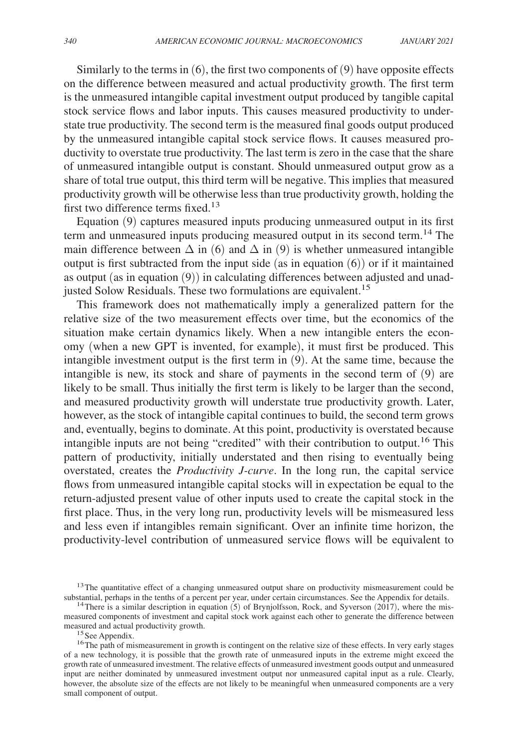Similarly to the terms in  $(6)$ , the first two components of  $(9)$  have opposite effects on the difference between measured and actual productivity growth. The first term is the unmeasured intangible capital investment output produced by tangible capital stock service flows and labor inputs. This causes measured productivity to understate true productivity. The second term is the measured final goods output produced by the unmeasured intangible capital stock service flows. It causes measured productivity to overstate true productivity. The last term is zero in the case that the share of unmeasured intangible output is constant. Should unmeasured output grow as a share of total true output, this third term will be negative. This implies that measured productivity growth will be otherwise less than true productivity growth, holding the first two difference terms fixed.<sup>13</sup>

Equation (9) captures measured inputs producing unmeasured output in its first term and unmeasured inputs producing measured output in its second term.14 The main difference between  $\Delta$  in (6) and  $\Delta$  in (9) is whether unmeasured intangible output is first subtracted from the input side (as in equation  $(6)$ ) or if it maintained as output (as in equation (9)) in calculating differences between adjusted and unadjusted Solow Residuals. These two formulations are equivalent.<sup>15</sup>

This framework does not mathematically imply a generalized pattern for the relative size of the two measurement effects over time, but the economics of the situation make certain dynamics likely. When a new intangible enters the economy (when a new GPT is invented, for example), it must first be produced. This intangible investment output is the first term in (9). At the same time, because the intangible is new, its stock and share of payments in the second term of (9) are likely to be small. Thus initially the first term is likely to be larger than the second, and measured productivity growth will understate true productivity growth. Later, however, as the stock of intangible capital continues to build, the second term grows and, eventually, begins to dominate. At this point, productivity is overstated because intangible inputs are not being "credited" with their contribution to output.16 This pattern of productivity, initially understated and then rising to eventually being overstated, creates the *Productivity J-curve*. In the long run, the capital service flows from unmeasured intangible capital stocks will in expectation be equal to the return-adjusted present value of other inputs used to create the capital stock in the first place. Thus, in the very long run, productivity levels will be mismeasured less and less even if intangibles remain significant. Over an infinite time horizon, the productivity-level contribution of unmeasured service flows will be equivalent to

<sup>&</sup>lt;sup>13</sup>The quantitative effect of a changing unmeasured output share on productivity mismeasurement could be substantial, perhaps in the tenths of a percent per year, under certain circumstances. See the Appendix for details.

<sup>&</sup>lt;sup>14</sup>There is a similar description in equation (5) of Brynjolfsson, Rock, and Syverson (2017), where the mismeasured components of investment and capital stock work against each other to generate the difference between measured and actual productivity growth.

<sup>&</sup>lt;sup>15</sup> See Appendix.

<sup>&</sup>lt;sup>16</sup>The path of mismeasurement in growth is contingent on the relative size of these effects. In very early stages of a new technology, it is possible that the growth rate of unmeasured inputs in the extreme might exceed the growth rate of unmeasured investment. The relative effects of unmeasured investment goods output and unmeasured input are neither dominated by unmeasured investment output nor unmeasured capital input as a rule. Clearly, however, the absolute size of the effects are not likely to be meaningful when unmeasured components are a very small component of output.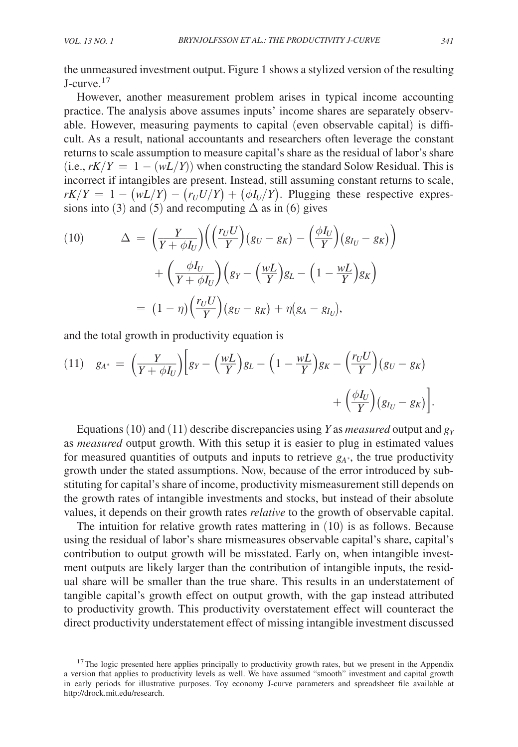the unmeasured investment output. Figure 1 shows a stylized version of the resulting J-curve.<sup>17</sup>

However, another measurement problem arises in typical income accounting practice. The analysis above assumes inputs' income shares are separately observable. However, measuring payments to capital (even observable capital) is difficult. As a result, national accountants and researchers often leverage the constant returns to scale assumption to measure capital's share as the residual of labor's share (i.e.,  $rK/Y = 1 - (wL/Y)$ ) when constructing the standard Solow Residual. This is incorrect if intangibles are present. Instead, still assuming constant returns to scale,  $rK/Y = 1 - (wL/Y) - (r_UU/Y) + (\phi I_U/Y)$ . Plugging these respective expressions into (3) and (5) and recomputing  $\Delta$  as in (6) gives

(10) 
$$
\Delta = \left(\frac{Y}{Y + \phi I_U}\right) \left(\left(\frac{r_U U}{Y}\right) (g_U - g_K) - \left(\frac{\phi I_U}{Y}\right) (g_{I_U} - g_K)\right) + \left(\frac{\phi I_U}{Y + \phi I_U}\right) \left(g_Y - \left(\frac{wL}{Y}\right) g_L - \left(1 - \frac{wL}{Y}\right) g_K\right) = (1 - \eta) \left(\frac{r_U U}{Y}\right) (g_U - g_K) + \eta (g_A - g_{I_U}),
$$

and the total growth in productivity equation is

$$
(11) \quad g_{A^*} = \left(\frac{Y}{Y + \phi I_U}\right) \left[g_Y - \left(\frac{wL}{Y}\right)g_L - \left(1 - \frac{wL}{Y}\right)g_K - \left(\frac{r_U U}{Y}\right)(g_U - g_K) + \left(\frac{\phi I_U}{Y}\right)(g_{I_U} - g_K)\right]
$$

Equations (10) and (11) describe discrepancies using *Y* as *measured* output and *g<sup>Y</sup>* as *measured* output growth. With this setup it is easier to plug in estimated values for measured quantities of outputs and inputs to retrieve  $g_A$ <sup>\*</sup>, the true productivity growth under the stated assumptions. Now, because of the error introduced by substituting for capital's share of income, productivity mismeasurement still depends on the growth rates of intangible investments and stocks, but instead of their absolute values, it depends on their growth rates *relative* to the growth of observable capital.

The intuition for relative growth rates mattering in (10) is as follows. Because using the residual of labor's share mismeasures observable capital's share, capital's contribution to output growth will be misstated. Early on, when intangible investment outputs are likely larger than the contribution of intangible inputs, the residual share will be smaller than the true share. This results in an understatement of tangible capital's growth effect on output growth, with the gap instead attributed to productivity growth. This productivity overstatement effect will counteract the direct productivity understatement effect of missing intangible investment discussed

.

<sup>&</sup>lt;sup>17</sup>The logic presented here applies principally to productivity growth rates, but we present in the Appendix a version that applies to productivity levels as well. We have assumed "smooth" investment and capital growth in early periods for illustrative purposes. Toy economy J-curve parameters and spreadsheet file available at http://drock.mit.edu/research.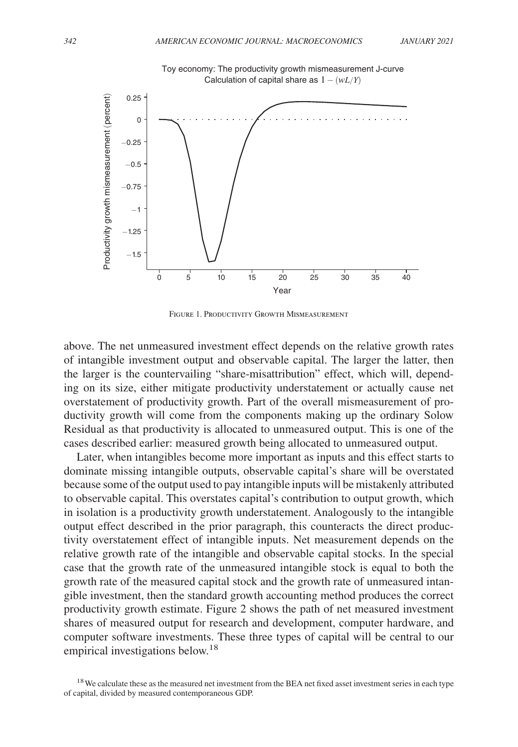

Figure 1. Productivity Growth Mismeasurement

above. The net unmeasured investment effect depends on the relative growth rates of intangible investment output and observable capital. The larger the latter, then the larger is the countervailing "share-misattribution" effect, which will, depending on its size, either mitigate productivity understatement or actually cause net overstatement of productivity growth. Part of the overall mismeasurement of productivity growth will come from the components making up the ordinary Solow Residual as that productivity is allocated to unmeasured output. This is one of the cases described earlier: measured growth being allocated to unmeasured output.

Later, when intangibles become more important as inputs and this effect starts to dominate missing intangible outputs, observable capital's share will be overstated because some of the output used to pay intangible inputs will be mistakenly attributed to observable capital. This overstates capital's contribution to output growth, which in isolation is a productivity growth understatement. Analogously to the intangible output effect described in the prior paragraph, this counteracts the direct productivity overstatement effect of intangible inputs. Net measurement depends on the relative growth rate of the intangible and observable capital stocks. In the special case that the growth rate of the unmeasured intangible stock is equal to both the growth rate of the measured capital stock and the growth rate of unmeasured intangible investment, then the standard growth accounting method produces the correct productivity growth estimate. Figure 2 shows the path of net measured investment shares of measured output for research and development, computer hardware, and computer software investments. These three types of capital will be central to our empirical investigations below.<sup>18</sup>

<sup>&</sup>lt;sup>18</sup>We calculate these as the measured net investment from the BEA net fixed asset investment series in each type of capital, divided by measured contemporaneous GDP.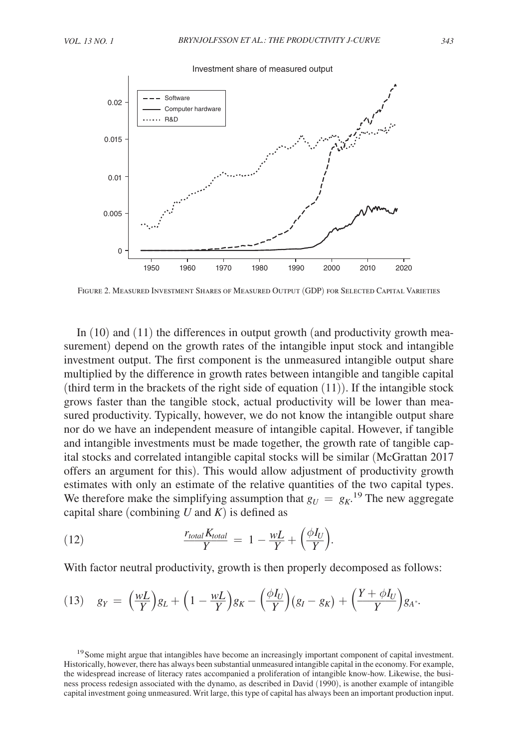

Figure 2. Measured Investment Shares of Measured Output (GDP) for Selected Capital Varieties

In (10) and (11) the differences in output growth (and productivity growth measurement) depend on the growth rates of the intangible input stock and intangible investment output. The first component is the unmeasured intangible output share multiplied by the difference in growth rates between intangible and tangible capital (third term in the brackets of the right side of equation  $(11)$ ). If the intangible stock grows faster than the tangible stock, actual productivity will be lower than measured productivity. Typically, however, we do not know the intangible output share nor do we have an independent measure of intangible capital. However, if tangible and intangible investments must be made together, the growth rate of tangible capital stocks and correlated intangible capital stocks will be similar (McGrattan 2017 offers an argument for this). This would allow adjustment of productivity growth estimates with only an estimate of the relative quantities of the two capital types. We therefore make the simplifying assumption that  $g_U = g_K$ .<sup>19</sup> The new aggregate capital share (combining  $U$  and  $K$ ) is defined as

(12) 
$$
\frac{r_{total}K_{total}}{Y} = 1 - \frac{wL}{Y} + \left(\frac{\phi I_U}{Y}\right).
$$

With factor neutral productivity, growth is then properly decomposed as follows:

$$
(13) \quad g_Y = \left(\frac{wL}{Y}\right)g_L + \left(1 - \frac{wL}{Y}\right)g_K - \left(\frac{\phi I_U}{Y}\right)(g_I - g_K) + \left(\frac{Y + \phi I_U}{Y}\right)g_A.
$$

<sup>19</sup> Some might argue that intangibles have become an increasingly important component of capital investment. Historically, however, there has always been substantial unmeasured intangible capital in the economy. For example, the widespread increase of literacy rates accompanied a proliferation of intangible know-how. Likewise, the business process redesign associated with the dynamo, as described in David (1990), is another example of intangible capital investment going unmeasured. Writ large, this type of capital has always been an important production input.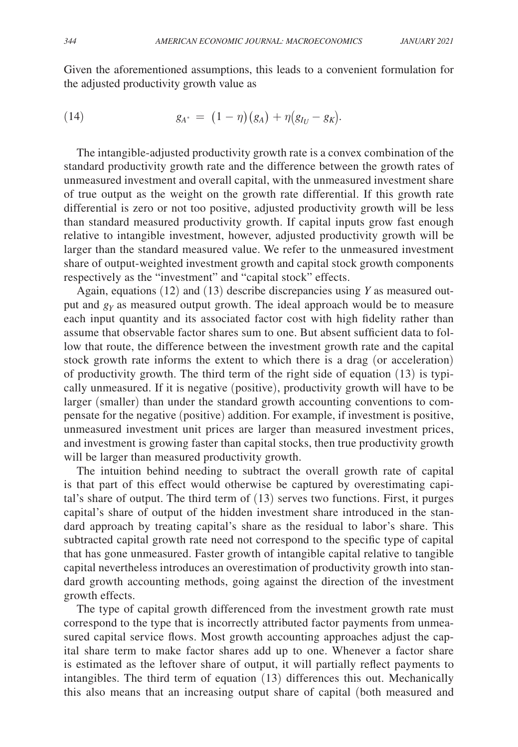Given the aforementioned assumptions, this leads to a convenient formulation for the adjusted productivity growth value as

(14) 
$$
g_{A^*} = (1 - \eta)(g_A) + \eta(g_{I_U} - g_K).
$$

The intangible-adjusted productivity growth rate is a convex combination of the standard productivity growth rate and the difference between the growth rates of unmeasured investment and overall capital, with the unmeasured investment share of true output as the weight on the growth rate differential. If this growth rate differential is zero or not too positive, adjusted productivity growth will be less than standard measured productivity growth. If capital inputs grow fast enough relative to intangible investment, however, adjusted productivity growth will be larger than the standard measured value. We refer to the unmeasured investment share of output-weighted investment growth and capital stock growth components respectively as the "investment" and "capital stock" effects.

Again, equations (12) and (13) describe discrepancies using *Y* as measured output and *g<sup>Y</sup>* as measured output growth. The ideal approach would be to measure each input quantity and its associated factor cost with high fidelity rather than assume that observable factor shares sum to one. But absent sufficient data to follow that route, the difference between the investment growth rate and the capital stock growth rate informs the extent to which there is a drag (or acceleration) of productivity growth. The third term of the right side of equation (13) is typically unmeasured. If it is negative (positive), productivity growth will have to be larger (smaller) than under the standard growth accounting conventions to compensate for the negative (positive) addition. For example, if investment is positive, unmeasured investment unit prices are larger than measured investment prices, and investment is growing faster than capital stocks, then true productivity growth will be larger than measured productivity growth.

The intuition behind needing to subtract the overall growth rate of capital is that part of this effect would otherwise be captured by overestimating capital's share of output. The third term of (13) serves two functions. First, it purges capital's share of output of the hidden investment share introduced in the standard approach by treating capital's share as the residual to labor's share. This subtracted capital growth rate need not correspond to the specific type of capital that has gone unmeasured. Faster growth of intangible capital relative to tangible capital nevertheless introduces an overestimation of productivity growth into standard growth accounting methods, going against the direction of the investment growth effects.

The type of capital growth differenced from the investment growth rate must correspond to the type that is incorrectly attributed factor payments from unmeasured capital service flows. Most growth accounting approaches adjust the capital share term to make factor shares add up to one. Whenever a factor share is estimated as the leftover share of output, it will partially reflect payments to intangibles. The third term of equation (13) differences this out. Mechanically this also means that an increasing output share of capital (both measured and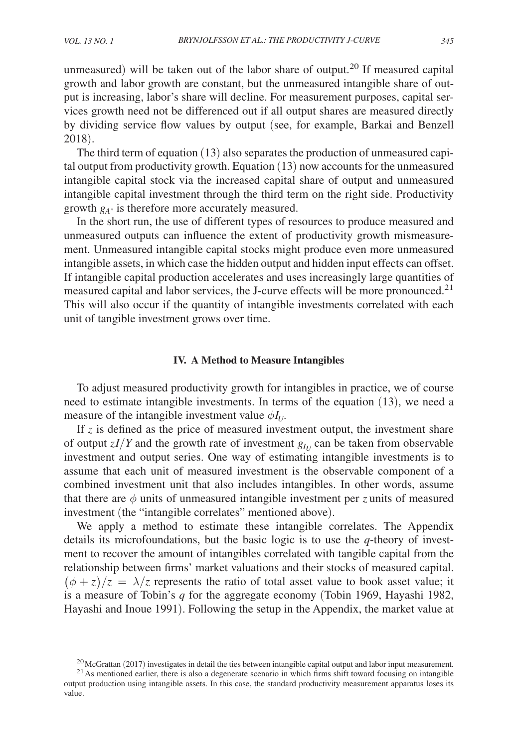unmeasured) will be taken out of the labor share of output.<sup>20</sup> If measured capital growth and labor growth are constant, but the unmeasured intangible share of output is increasing, labor's share will decline. For measurement purposes, capital services growth need not be differenced out if all output shares are measured directly by dividing service flow values by output (see, for example, Barkai and Benzell 2018).

The third term of equation (13) also separates the production of unmeasured capital output from productivity growth. Equation (13) now accounts for the unmeasured intangible capital stock via the increased capital share of output and unmeasured intangible capital investment through the third term on the right side. Productivity growth  $g_{A^*}$  is therefore more accurately measured.

In the short run, the use of different types of resources to produce measured and unmeasured outputs can influence the extent of productivity growth mismeasurement. Unmeasured intangible capital stocks might produce even more unmeasured intangible assets, in which case the hidden output and hidden input effects can offset. If intangible capital production accelerates and uses increasingly large quantities of measured capital and labor services, the J-curve effects will be more pronounced.<sup>21</sup> This will also occur if the quantity of intangible investments correlated with each unit of tangible investment grows over time.

### **IV. A Method to Measure Intangibles**

To adjust measured productivity growth for intangibles in practice, we of course need to estimate intangible investments. In terms of the equation (13), we need a measure of the intangible investment value  $\phi I_U$ .

If *z* is defined as the price of measured investment output, the investment share of output  $zI/Y$  and the growth rate of investment  $g_{I_U}$  can be taken from observable investment and output series. One way of estimating intangible investments is to assume that each unit of measured investment is the observable component of a combined investment unit that also includes intangibles. In other words, assume that there are  $\phi$  units of unmeasured intangible investment per *z* units of measured investment (the "intangible correlates" mentioned above).

We apply a method to estimate these intangible correlates. The Appendix details its microfoundations, but the basic logic is to use the *q*-theory of investment to recover the amount of intangibles correlated with tangible capital from the relationship between firms' market valuations and their stocks of measured capital.  $(\phi + z)/z = \lambda/z$  represents the ratio of total asset value to book asset value; it is a measure of Tobin's *q* for the aggregate economy (Tobin 1969, Hayashi 1982, Hayashi and Inoue 1991). Following the setup in the Appendix, the market value at

<sup>&</sup>lt;sup>20</sup>McGrattan (2017) investigates in detail the ties between intangible capital output and labor input measurement.

 $21$ As mentioned earlier, there is also a degenerate scenario in which firms shift toward focusing on intangible output production using intangible assets. In this case, the standard productivity measurement apparatus loses its value.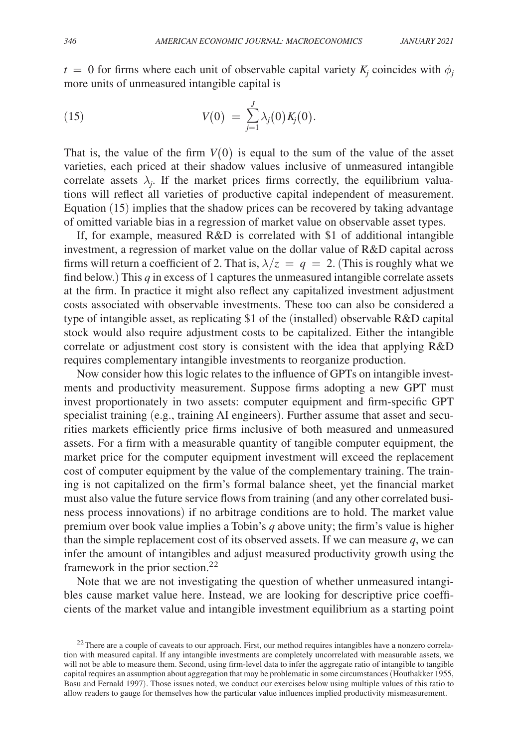$t = 0$  for firms where each unit of observable capital variety  $K_j$  coincides with  $\phi_j$ more units of unmeasured intangible capital is

(15) 
$$
V(0) = \sum_{j=1}^{J} \lambda_j(0) K_j(0).
$$

That is, the value of the firm  $V(0)$  is equal to the sum of the value of the asset varieties, each priced at their shadow values inclusive of unmeasured intangible correlate assets  $\lambda_j$ . If the market prices firms correctly, the equilibrium valuations will reflect all varieties of productive capital independent of measurement. Equation (15) implies that the shadow prices can be recovered by taking advantage of omitted variable bias in a regression of market value on observable asset types.

If, for example, measured R&D is correlated with \$1 of additional intangible investment, a regression of market value on the dollar value of R&D capital across firms will return a coefficient of 2. That is,  $\lambda/z = q = 2$ . (This is roughly what we find below.) This *q* in excess of 1 captures the unmeasured intangible correlate assets at the firm. In practice it might also reflect any capitalized investment adjustment costs associated with observable investments. These too can also be considered a type of intangible asset, as replicating \$1 of the (installed) observable R&D capital stock would also require adjustment costs to be capitalized. Either the intangible correlate or adjustment cost story is consistent with the idea that applying R&D requires complementary intangible investments to reorganize production.

Now consider how this logic relates to the influence of GPTs on intangible investments and productivity measurement. Suppose firms adopting a new GPT must invest proportionately in two assets: computer equipment and firm-specific GPT specialist training (e.g., training AI engineers). Further assume that asset and securities markets efficiently price firms inclusive of both measured and unmeasured assets. For a firm with a measurable quantity of tangible computer equipment, the market price for the computer equipment investment will exceed the replacement cost of computer equipment by the value of the complementary training. The training is not capitalized on the firm's formal balance sheet, yet the financial market must also value the future service flows from training (and any other correlated business process innovations) if no arbitrage conditions are to hold. The market value premium over book value implies a Tobin's *q* above unity; the firm's value is higher than the simple replacement cost of its observed assets. If we can measure  $q$ , we can infer the amount of intangibles and adjust measured productivity growth using the framework in the prior section.<sup>22</sup>

Note that we are not investigating the question of whether unmeasured intangibles cause market value here. Instead, we are looking for descriptive price coefficients of the market value and intangible investment equilibrium as a starting point

<sup>&</sup>lt;sup>22</sup>There are a couple of caveats to our approach. First, our method requires intangibles have a nonzero correlation with measured capital. If any intangible investments are completely uncorrelated with measurable assets, we will not be able to measure them. Second, using firm-level data to infer the aggregate ratio of intangible to tangible capital requires an assumption about aggregation that may be problematic in some circumstances (Houthakker 1955, Basu and Fernald 1997). Those issues noted, we conduct our exercises below using multiple values of this ratio to allow readers to gauge for themselves how the particular value influences implied productivity mismeasurement.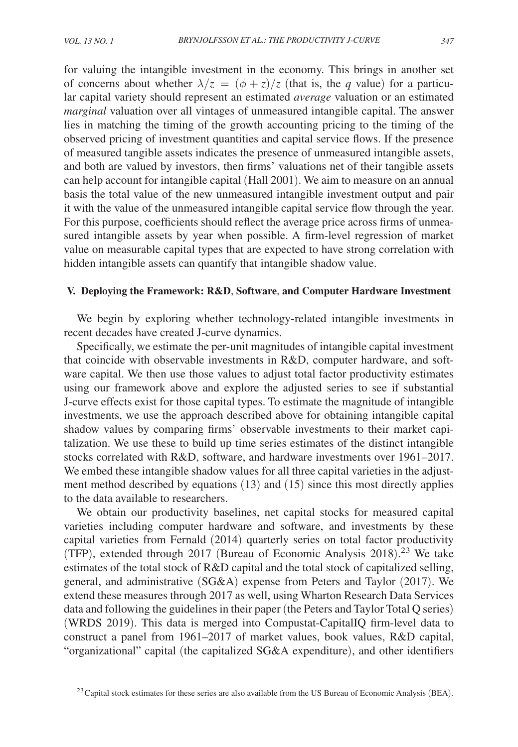for valuing the intangible investment in the economy. This brings in another set of concerns about whether  $\lambda/z = (\phi + z)/z$  (that is, the *q* value) for a particular capital variety should represent an estimated *average* valuation or an estimated *marginal* valuation over all vintages of unmeasured intangible capital. The answer lies in matching the timing of the growth accounting pricing to the timing of the observed pricing of investment quantities and capital service flows. If the presence of measured tangible assets indicates the presence of unmeasured intangible assets, and both are valued by investors, then firms' valuations net of their tangible assets can help account for intangible capital (Hall 2001). We aim to measure on an annual basis the total value of the new unmeasured intangible investment output and pair it with the value of the unmeasured intangible capital service flow through the year. For this purpose, coefficients should reflect the average price across firms of unmeasured intangible assets by year when possible. A firm-level regression of market value on measurable capital types that are expected to have strong correlation with hidden intangible assets can quantify that intangible shadow value.

# **V. Deploying the Framework: R&D**, **Software**, **and Computer Hardware Investment**

We begin by exploring whether technology-related intangible investments in recent decades have created J-curve dynamics.

Specifically, we estimate the per-unit magnitudes of intangible capital investment that coincide with observable investments in R&D, computer hardware, and software capital. We then use those values to adjust total factor productivity estimates using our framework above and explore the adjusted series to see if substantial J-curve effects exist for those capital types. To estimate the magnitude of intangible investments, we use the approach described above for obtaining intangible capital shadow values by comparing firms' observable investments to their market capitalization. We use these to build up time series estimates of the distinct intangible stocks correlated with R&D, software, and hardware investments over 1961–2017. We embed these intangible shadow values for all three capital varieties in the adjustment method described by equations (13) and (15) since this most directly applies to the data available to researchers.

We obtain our productivity baselines, net capital stocks for measured capital varieties including computer hardware and software, and investments by these capital varieties from Fernald (2014) quarterly series on total factor productivity (TFP), extended through 2017 (Bureau of Economic Analysis 2018). <sup>23</sup> We take estimates of the total stock of R&D capital and the total stock of capitalized selling, general, and administrative (SG&A) expense from Peters and Taylor (2017). We extend these measures through 2017 as well, using Wharton Research Data Services data and following the guidelines in their paper (the Peters and Taylor Total Q series) (WRDS 2019). This data is merged into Compustat-CapitalIQ firm-level data to construct a panel from 1961–2017 of market values, book values, R&D capital, "organizational" capital (the capitalized SG&A expenditure), and other identifiers

 $23$  Capital stock estimates for these series are also available from the US Bureau of Economic Analysis (BEA).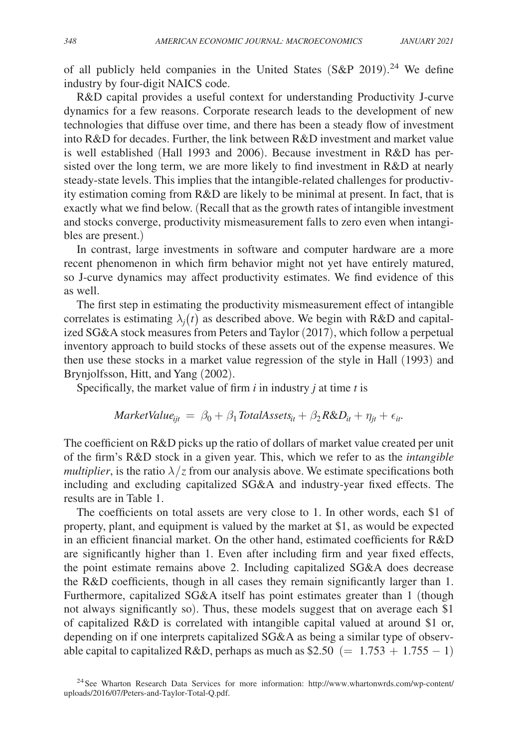of all publicly held companies in the United States (S&P 2019).<sup>24</sup> We define industry by four-digit NAICS code.

R&D capital provides a useful context for understanding Productivity J-curve dynamics for a few reasons. Corporate research leads to the development of new technologies that diffuse over time, and there has been a steady flow of investment into R&D for decades. Further, the link between R&D investment and market value is well established (Hall 1993 and 2006). Because investment in R&D has persisted over the long term, we are more likely to find investment in R&D at nearly steady-state levels. This implies that the intangible-related challenges for productivity estimation coming from R&D are likely to be minimal at present. In fact, that is exactly what we find below. (Recall that as the growth rates of intangible investment and stocks converge, productivity mismeasurement falls to zero even when intangibles are present.)

In contrast, large investments in software and computer hardware are a more recent phenomenon in which firm behavior might not yet have entirely matured, so J-curve dynamics may affect productivity estimates. We find evidence of this as well.

The first step in estimating the productivity mismeasurement effect of intangible correlates is estimating  $\lambda_j(t)$  as described above. We begin with R&D and capitalized SG&A stock measures from Peters and Taylor (2017), which follow a perpetual inventory approach to build stocks of these assets out of the expense measures. We then use these stocks in a market value regression of the style in Hall (1993) and Brynjolfsson, Hitt, and Yang (2002).

Specifically, the market value of firm *i* in industry *j* at time *t* is

$$
MarketValue_{ijt} = \beta_0 + \beta_1 Total Assets_{it} + \beta_2 R\&D_{it} + \eta_{jt} + \epsilon_{it}.
$$

The coefficient on R&D picks up the ratio of dollars of market value created per unit of the firm's R&D stock in a given year. This, which we refer to as the *intangible multiplier*, is the ratio  $\lambda / z$  from our analysis above. We estimate specifications both including and excluding capitalized SG&A and industry-year fixed effects. The results are in Table 1.

The coefficients on total assets are very close to 1. In other words, each \$1 of property, plant, and equipment is valued by the market at \$1, as would be expected in an efficient financial market. On the other hand, estimated coefficients for R&D are significantly higher than 1. Even after including firm and year fixed effects, the point estimate remains above 2. Including capitalized SG&A does decrease the R&D coefficients, though in all cases they remain significantly larger than 1. Furthermore, capitalized SG&A itself has point estimates greater than 1 (though not always significantly so). Thus, these models suggest that on average each \$1 of capitalized R&D is correlated with intangible capital valued at around \$1 or, depending on if one interprets capitalized SG&A as being a similar type of observable capital to capitalized R&D, perhaps as much as  $$2.50 (= 1.753 + 1.755 - 1)$ 

<sup>&</sup>lt;sup>24</sup>See Wharton Research Data Services for more information: http://www.whartonwrds.com/wp-content/ uploads/2016/07/Peters-and-Taylor-Total-Q.pdf.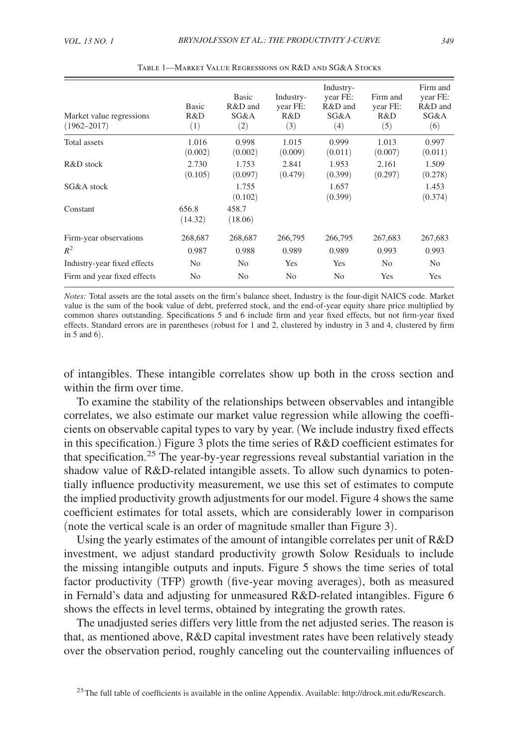| Market value regressions<br>$(1962 - 2017)$ | <b>Basic</b><br>R&D<br>(1) | Basic<br>R&D and<br>SG&A<br>(2) | Industry-<br>year FE:<br>R&D<br>(3) | Industry-<br>year FE:<br>R&D and<br>SG&A<br>(4) | Firm and<br>year FE:<br>R&D<br>(5) | Firm and<br>year FE:<br>R&D and<br>SG&A<br>(6) |
|---------------------------------------------|----------------------------|---------------------------------|-------------------------------------|-------------------------------------------------|------------------------------------|------------------------------------------------|
| Total assets                                | 1.016<br>(0.002)           | 0.998<br>(0.002)                | 1.015<br>(0.009)                    | 0.999<br>(0.011)                                | 1.013<br>(0.007)                   | 0.997<br>(0.011)                               |
| $R&D$ stock                                 | 2.730<br>(0.105)           | 1.753<br>(0.097)                | 2.841<br>(0.479)                    | 1.953<br>(0.399)                                | 2.161<br>(0.297)                   | 1.509<br>(0.278)                               |
| SG&A stock                                  |                            | 1.755<br>(0.102)                |                                     | 1.657<br>(0.399)                                |                                    | 1.453<br>(0.374)                               |
| Constant                                    | 656.8<br>(14.32)           | 458.7<br>(18.06)                |                                     |                                                 |                                    |                                                |
| Firm-year observations                      | 268,687                    | 268,687                         | 266,795                             | 266,795                                         | 267,683                            | 267,683                                        |
| $R^2$                                       | 0.987                      | 0.988                           | 0.989                               | 0.989                                           | 0.993                              | 0.993                                          |
| Industry-year fixed effects                 | N <sub>0</sub>             | N <sub>0</sub>                  | Yes                                 | Yes                                             | N <sub>0</sub>                     | No.                                            |
| Firm and year fixed effects                 | No                         | No                              | No                                  | N <sub>0</sub>                                  | Yes                                | Yes                                            |

Table 1—Market Value Regressions on R&D and SG&A Stocks

*Notes:* Total assets are the total assets on the firm's balance sheet, Industry is the four-digit NAICS code. Market value is the sum of the book value of debt, preferred stock, and the end-of-year equity share price multiplied by common shares outstanding. Specifications 5 and 6 include firm and year fixed effects, but not firm-year fixed effects. Standard errors are in parentheses (robust for 1 and 2, clustered by industry in 3 and 4, clustered by firm in 5 and 6).

of intangibles. These intangible correlates show up both in the cross section and within the firm over time.

To examine the stability of the relationships between observables and intangible correlates, we also estimate our market value regression while allowing the coefficients on observable capital types to vary by year. (We include industry fixed effects in this specification.) Figure 3 plots the time series of R&D coefficient estimates for that specification.<sup>25</sup> The year-by-year regressions reveal substantial variation in the shadow value of R&D-related intangible assets. To allow such dynamics to potentially influence productivity measurement, we use this set of estimates to compute the implied productivity growth adjustments for our model. Figure 4 shows the same coefficient estimates for total assets, which are considerably lower in comparison (note the vertical scale is an order of magnitude smaller than Figure 3).

Using the yearly estimates of the amount of intangible correlates per unit of R&D investment, we adjust standard productivity growth Solow Residuals to include the missing intangible outputs and inputs. Figure 5 shows the time series of total factor productivity (TFP) growth (five-year moving averages), both as measured in Fernald's data and adjusting for unmeasured  $R&D$ -related intangibles. Figure 6 shows the effects in level terms, obtained by integrating the growth rates.

The unadjusted series differs very little from the net adjusted series. The reason is that, as mentioned above, R&D capital investment rates have been relatively steady over the observation period, roughly canceling out the countervailing influences of

<sup>&</sup>lt;sup>25</sup>The full table of coefficients is available in the online Appendix. Available: http://drock.mit.edu/Research.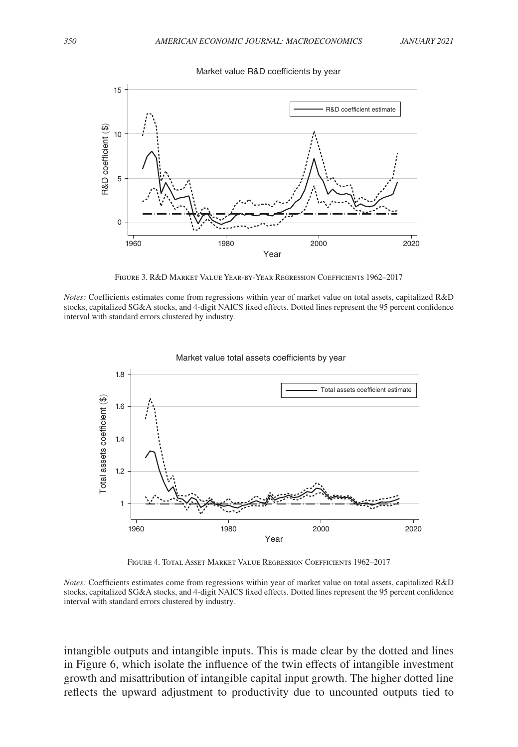

Figure 3. R&D Market Value Year-by-Year Regression Coefficients 1962–2017

*Notes:* Coefficients estimates come from regressions within year of market value on total assets, capitalized R&D stocks, capitalized SG&A stocks, and 4-digit NAICS fixed effects. Dotted lines represent the 95 percent confidence interval with standard errors clustered by industry.



Market value total assets coefficients by year

Figure 4. Total Asset Market Value Regression Coefficients 1962–2017

*Notes:* Coefficients estimates come from regressions within year of market value on total assets, capitalized R&D stocks, capitalized SG&A stocks, and 4-digit NAICS fixed effects. Dotted lines represent the 95 percent confidence interval with standard errors clustered by industry.

intangible outputs and intangible inputs. This is made clear by the dotted and lines in Figure 6, which isolate the influence of the twin effects of intangible investment growth and misattribution of intangible capital input growth. The higher dotted line reflects the upward adjustment to productivity due to uncounted outputs tied to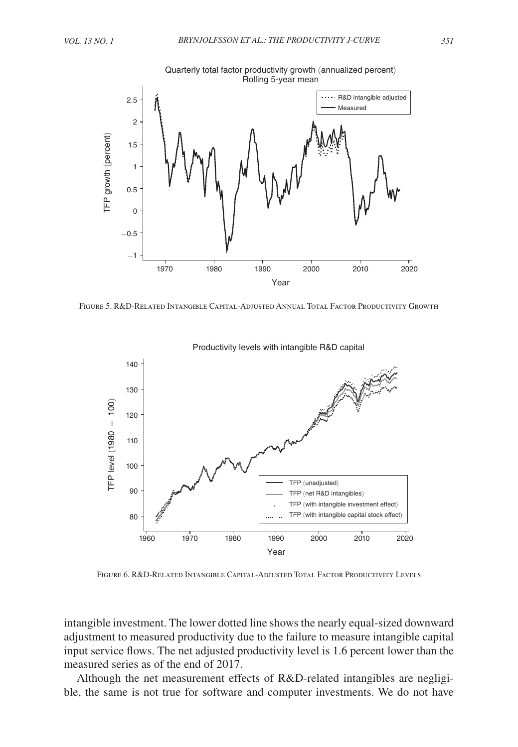

FIGURE 5. R&D-RELATED INTANGIBLE CAPITAL-ADJUSTED ANNUAL TOTAL FACTOR PRODUCTIVITY GROWTH



Productivity levels with intangible R&D capital

FIGURE 6. R&D-RELATED INTANGIBLE CAPITAL-ADJUSTED TOTAL FACTOR PRODUCTIVITY LEVELS

intangible investment. The lower dotted line shows the nearly equal-sized downward adjustment to measured productivity due to the failure to measure intangible capital input service flows. The net adjusted productivity level is 1.6 percent lower than the measured series as of the end of 2017.

Although the net measurement effects of R&D-related intangibles are negligible, the same is not true for software and computer investments. We do not have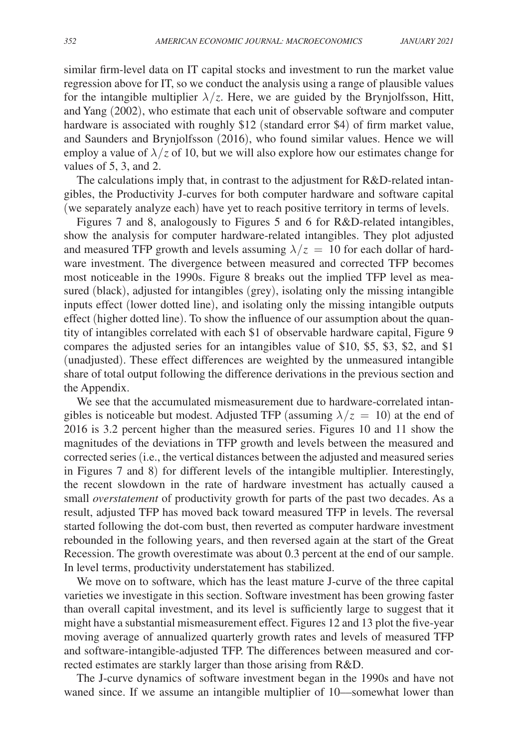similar firm-level data on IT capital stocks and investment to run the market value regression above for IT, so we conduct the analysis using a range of plausible values for the intangible multiplier  $\lambda/z$ . Here, we are guided by the Brynjolfsson, Hitt, and Yang (2002), who estimate that each unit of observable software and computer hardware is associated with roughly \$12 (standard error \$4) of firm market value, and Saunders and Brynjolfsson (2016), who found similar values. Hence we will employ a value of  $\lambda$ /*z* of 10, but we will also explore how our estimates change for values of 5, 3, and 2.

The calculations imply that, in contrast to the adjustment for R&D-related intangibles, the Productivity J-curves for both computer hardware and software capital (we separately analyze each) have yet to reach positive territory in terms of levels.

Figures 7 and 8, analogously to Figures 5 and 6 for R&D-related intangibles, show the analysis for computer hardware-related intangibles. They plot adjusted and measured TFP growth and levels assuming  $\lambda/z = 10$  for each dollar of hardware investment. The divergence between measured and corrected TFP becomes most noticeable in the 1990s. Figure 8 breaks out the implied TFP level as measured (black), adjusted for intangibles (grey), isolating only the missing intangible inputs effect (lower dotted line), and isolating only the missing intangible outputs effect (higher dotted line). To show the influence of our assumption about the quantity of intangibles correlated with each \$1 of observable hardware capital, Figure 9 compares the adjusted series for an intangibles value of \$10, \$5, \$3, \$2, and \$1 ( unadjusted). These effect differences are weighted by the unmeasured intangible share of total output following the difference derivations in the previous section and the Appendix.

We see that the accumulated mismeasurement due to hardware-correlated intangibles is noticeable but modest. Adjusted TFP (assuming  $\lambda/z = 10$ ) at the end of 2016 is 3.2 percent higher than the measured series. Figures 10 and 11 show the magnitudes of the deviations in TFP growth and levels between the measured and corrected series (i.e., the vertical distances between the adjusted and measured series in Figures 7 and 8) for different levels of the intangible multiplier. Interestingly, the recent slowdown in the rate of hardware investment has actually caused a small *overstatement* of productivity growth for parts of the past two decades. As a result, adjusted TFP has moved back toward measured TFP in levels. The reversal started following the dot-com bust, then reverted as computer hardware investment rebounded in the following years, and then reversed again at the start of the Great Recession. The growth overestimate was about 0.3 percent at the end of our sample. In level terms, productivity understatement has stabilized.

We move on to software, which has the least mature J-curve of the three capital varieties we investigate in this section. Software investment has been growing faster than overall capital investment, and its level is sufficiently large to suggest that it might have a substantial mismeasurement effect. Figures 12 and 13 plot the five-year moving average of annualized quarterly growth rates and levels of measured TFP and software-intangible-adjusted TFP. The differences between measured and corrected estimates are starkly larger than those arising from R&D.

The J-curve dynamics of software investment began in the 1990s and have not waned since. If we assume an intangible multiplier of 10––somewhat lower than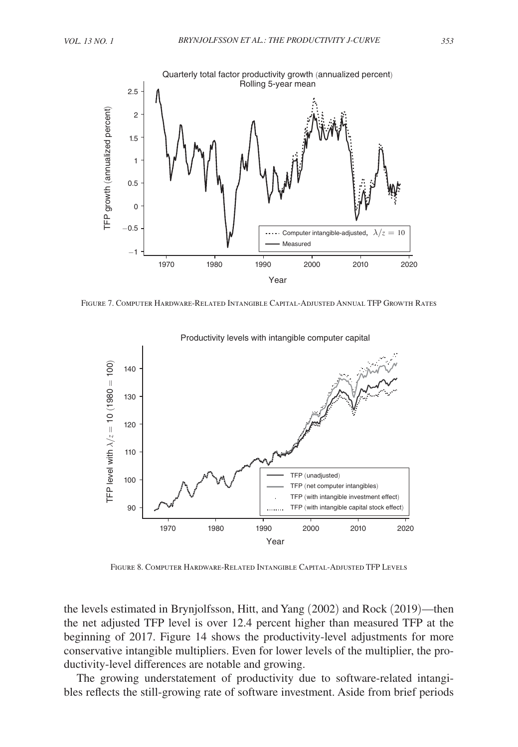

Figure 7. Computer Hardware-Related Intangible Capital-Adjusted Annual TFP Growth Rates



Productivity levels with intangible computer capital

Figure 8. Computer Hardware-Related Intangible Capital-Adjusted TFP Levels

the levels estimated in Brynjolfsson, Hitt, and Yang (2002) and Rock (2019)––then the net adjusted TFP level is over 12.4 percent higher than measured TFP at the beginning of 2017. Figure 14 shows the productivity-level adjustments for more conservative intangible multipliers. Even for lower levels of the multiplier, the productivity-level differences are notable and growing.

The growing understatement of productivity due to software-related intangibles reflects the still-growing rate of software investment. Aside from brief periods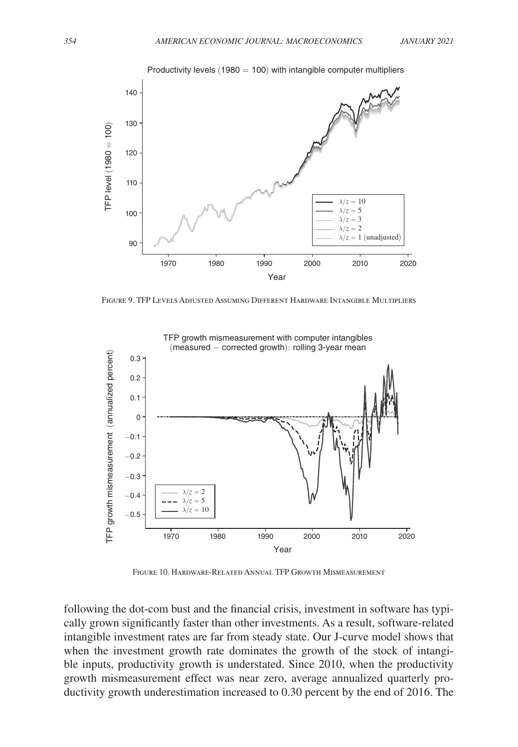

Productivity levels  $(1980 = 100)$  with intangible computer multipliers

Figure 9. TFP Levels Adjusted Assuming Different Hardware Intangible Multipliers



TFP growth mismeasurement with computer intangibles

Figure 10. Hardware-Related Annual TFP Growth Mismeasurement

 following the dot-com bust and the financial crisis, investment in software has typically grown significantly faster than other investments. As a result, software-related intangible investment rates are far from steady state. Our J-curve model shows that when the investment growth rate dominates the growth of the stock of intangible inputs, productivity growth is understated. Since 2010, when the productivity growth mismeasurement effect was near zero, average annualized quarterly productivity growth underestimation increased to 0.30 percent by the end of 2016. The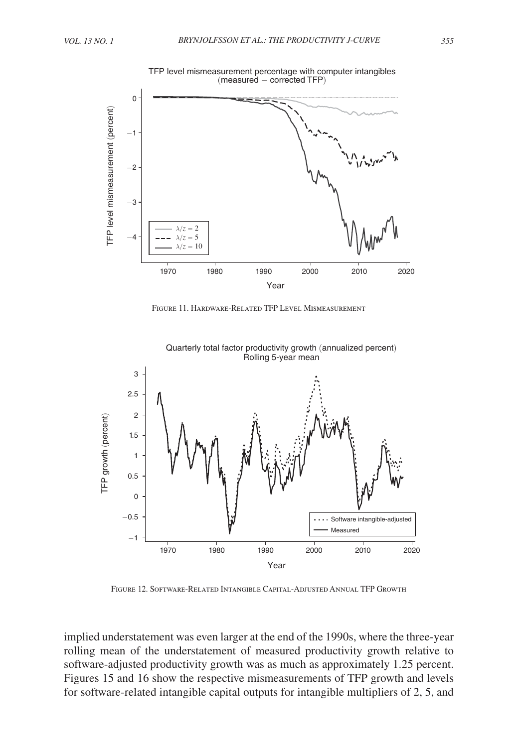

TFP level mismeasurement percentage with computer intangibles (measured − corrected TFP)

Figure 11. Hardware-Related TFP Level Mismeasurement



Quarterly total factor productivity growth (annualized percent) Rolling 5-year mean

Figure 12. Software-Related Intangible Capital-Adjusted Annual TFP Growth

implied understatement was even larger at the end of the 1990s, where the three-year rolling mean of the understatement of measured productivity growth relative to software-adjusted productivity growth was as much as approximately 1.25 percent. Figures 15 and 16 show the respective mismeasurements of TFP growth and levels for software-related intangible capital outputs for intangible multipliers of 2, 5, and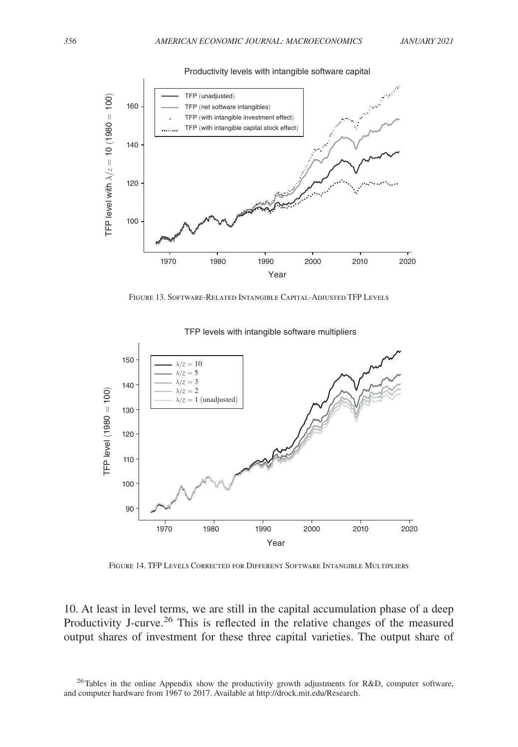



Figure 13. Software-Related Intangible Capital-Adjusted TFP Levels



TFP levels with intangible software multipliers

Figure 14. TFP Levels Corrected for Different Software Intangible Multipliers

10. At least in level terms, we are still in the capital accumulation phase of a deep Productivity J-curve.<sup>26</sup> This is reflected in the relative changes of the measured output shares of investment for these three capital varieties. The output share of

<sup>26</sup>Tables in the online Appendix show the productivity growth adjustments for R&D, computer software, and computer hardware from 1967 to 2017. Available at http://drock.mit.edu/Research.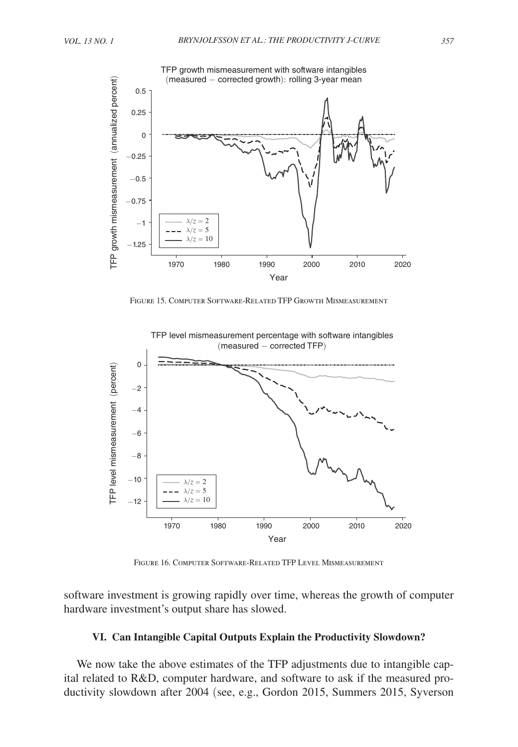

Figure 15. Computer Software-Related TFP Growth Mismeasurement



Figure 16. Computer Software-Related TFP Level Mismeasurement

software investment is growing rapidly over time, whereas the growth of computer hardware investment's output share has slowed.

## **VI. Can Intangible Capital Outputs Explain the Productivity Slowdown?**

We now take the above estimates of the TFP adjustments due to intangible capital related to R&D, computer hardware, and software to ask if the measured productivity slowdown after 2004 (see, e.g., Gordon 2015, Summers 2015, Syverson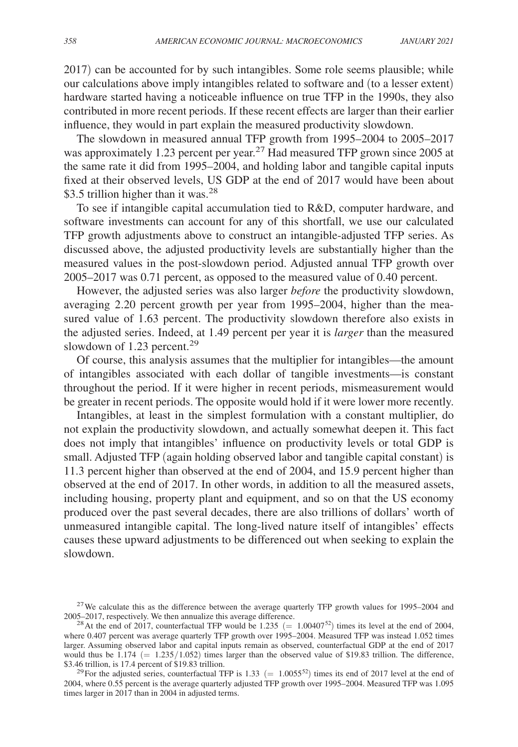2017) can be accounted for by such intangibles. Some role seems plausible; while our calculations above imply intangibles related to software and (to a lesser extent) hardware started having a noticeable influence on true TFP in the 1990s, they also contributed in more recent periods. If these recent effects are larger than their earlier influence, they would in part explain the measured productivity slowdown.

The slowdown in measured annual TFP growth from 1995–2004 to 2005–2017 was approximately 1.23 percent per year.<sup>27</sup> Had measured TFP grown since 2005 at the same rate it did from 1995–2004, and holding labor and tangible capital inputs fixed at their observed levels, US GDP at the end of 2017 would have been about \$3.5 trillion higher than it was.<sup>28</sup>

To see if intangible capital accumulation tied to R&D, computer hardware, and software investments can account for any of this shortfall, we use our calculated TFP growth adjustments above to construct an intangible-adjusted TFP series. As discussed above, the adjusted productivity levels are substantially higher than the measured values in the post-slowdown period. Adjusted annual TFP growth over 2005–2017 was 0.71 percent, as opposed to the measured value of 0.40 percent.

However, the adjusted series was also larger *before* the productivity slowdown, averaging 2.20 percent growth per year from 1995–2004, higher than the measured value of 1.63 percent. The productivity slowdown therefore also exists in the adjusted series. Indeed, at 1.49 percent per year it is *larger* than the measured slowdown of 1.23 percent.<sup>29</sup>

Of course, this analysis assumes that the multiplier for intangibles—the amount of intangibles associated with each dollar of tangible investments—is constant throughout the period. If it were higher in recent periods, mismeasurement would be greater in recent periods. The opposite would hold if it were lower more recently.

Intangibles, at least in the simplest formulation with a constant multiplier, do not explain the productivity slowdown, and actually somewhat deepen it. This fact does not imply that intangibles' influence on productivity levels or total GDP is small. Adjusted TFP (again holding observed labor and tangible capital constant) is 11.3 percent higher than observed at the end of 2004, and 15.9 percent higher than observed at the end of 2017. In other words, in addition to all the measured assets, including housing, property plant and equipment, and so on that the US economy produced over the past several decades, there are also trillions of dollars' worth of unmeasured intangible capital. The long-lived nature itself of intangibles' effects causes these upward adjustments to be differenced out when seeking to explain the slowdown.

<sup>&</sup>lt;sup>27</sup>We calculate this as the difference between the average quarterly TFP growth values for 1995–2004 and 2005–2017, respectively. We then annualize this average difference.

<sup>&</sup>lt;sup>28</sup> At the end of 2017, counterfactual TFP would be 1.235 (= 1.00407<sup>52</sup>) times its level at the end of 2004, where 0.407 percent was average quarterly TFP growth over 1995–2004. Measured TFP was instead 1.052 times larger. Assuming observed labor and capital inputs remain as observed, counterfactual GDP at the end of 2017 would thus be  $1.174 (= 1.235/1.052)$  times larger than the observed value of \$19.83 trillion. The difference, \$3.46 trillion, is 17.4 percent of \$19.83 trillion.

<sup>&</sup>lt;sup>29</sup>For the adjusted series, counterfactual TFP is 1.33 (= 1.0055<sup>52</sup>) times its end of 2017 level at the end of 2004, where 0.55 percent is the average quarterly adjusted TFP growth over 1995–2004. Measured TFP was 1.095 times larger in 2017 than in 2004 in adjusted terms.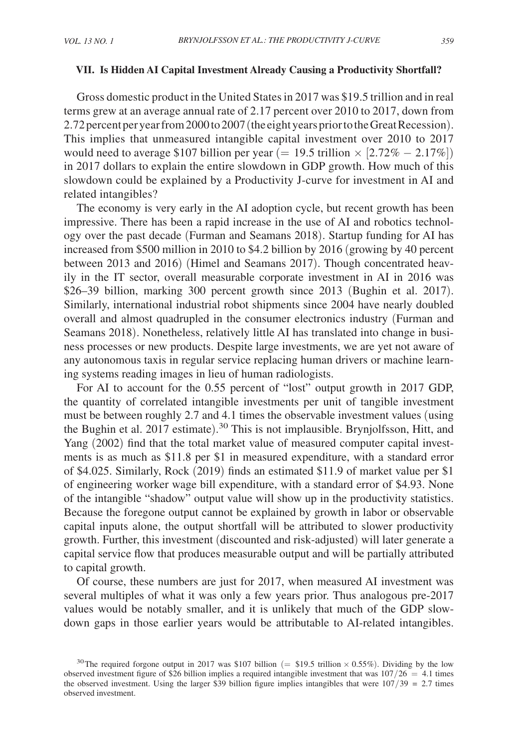#### **VII. Is Hidden AI Capital Investment Already Causing a Productivity Shortfall?**

Gross domestic product in the United States in 2017 was \$19.5 trillion and in real terms grew at an average annual rate of 2.17 percent over 2010 to 2017, down from 2.72 percent per year from 2000 to 2007 (the eight years prior to the Great Recession). This implies that unmeasured intangible capital investment over 2010 to 2017 would need to average \$107 billion per year (= 19.5 trillion  $\times$  [2.72% – 2.17%]) in 2017 dollars to explain the entire slowdown in GDP growth. How much of this slowdown could be explained by a Productivity J-curve for investment in AI and related intangibles?

The economy is very early in the AI adoption cycle, but recent growth has been impressive. There has been a rapid increase in the use of AI and robotics technology over the past decade (Furman and Seamans 2018). Startup funding for AI has increased from \$500 million in 2010 to \$4.2 billion by 2016 (growing by 40 percent between 2013 and 2016) (Himel and Seamans 2017). Though concentrated heavily in the IT sector, overall measurable corporate investment in AI in 2016 was \$ 26–39 billion, marking 300 percent growth since 2013 (Bughin et al. 2017). Similarly, international industrial robot shipments since 2004 have nearly doubled overall and almost quadrupled in the consumer electronics industry (Furman and Seamans 2018). Nonetheless, relatively little AI has translated into change in business processes or new products. Despite large investments, we are yet not aware of any autonomous taxis in regular service replacing human drivers or machine learning systems reading images in lieu of human radiologists.

For AI to account for the 0.55 percent of "lost" output growth in 2017 GDP, the quantity of correlated intangible investments per unit of tangible investment must be between roughly 2.7 and 4.1 times the observable investment values (using the Bughin et al. 2017 estimate). <sup>30</sup> This is not implausible. Brynjolfsson, Hitt, and Yang (2002) find that the total market value of measured computer capital investments is as much as \$11.8 per \$1 in measured expenditure, with a standard error of \$4.025. Similarly, Rock (2019) finds an estimated \$11.9 of market value per \$1 of engineering worker wage bill expenditure, with a standard error of \$4.93. None of the intangible "shadow" output value will show up in the productivity statistics. Because the foregone output cannot be explained by growth in labor or observable capital inputs alone, the output shortfall will be attributed to slower productivity growth. Further, this investment (discounted and risk-adjusted) will later generate a capital service flow that produces measurable output and will be partially attributed to capital growth.

Of course, these numbers are just for 2017, when measured AI investment was several multiples of what it was only a few years prior. Thus analogous pre-2017 values would be notably smaller, and it is unlikely that much of the GDP slowdown gaps in those earlier years would be attributable to AI-related intangibles.

<sup>&</sup>lt;sup>30</sup>The required forgone output in 2017 was \$107 billion (= \$19.5 trillion  $\times$  0.55%). Dividing by the low observed investment figure of \$26 billion implies a required intangible investment that was  $107/26 = 4.1$  times the observed investment. Using the larger \$39 billion figure implies intangibles that were  $107/39 = 2.7$  times observed investment.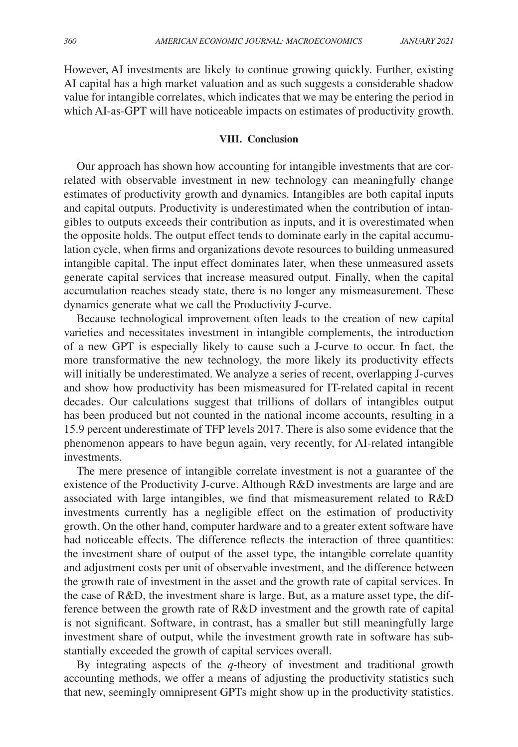However, AI investments are likely to continue growing quickly. Further, existing AI capital has a high market valuation and as such suggests a considerable shadow value for intangible correlates, which indicates that we may be entering the period in which AI-as-GPT will have noticeable impacts on estimates of productivity growth.

# **VIII. Conclusion**

Our approach has shown how accounting for intangible investments that are correlated with observable investment in new technology can meaningfully change estimates of productivity growth and dynamics. Intangibles are both capital inputs and capital outputs. Productivity is underestimated when the contribution of intangibles to outputs exceeds their contribution as inputs, and it is overestimated when the opposite holds. The output effect tends to dominate early in the capital accumulation cycle, when firms and organizations devote resources to building unmeasured intangible capital. The input effect dominates later, when these unmeasured assets generate capital services that increase measured output. Finally, when the capital accumulation reaches steady state, there is no longer any mismeasurement. These dynamics generate what we call the Productivity J-curve.

Because technological improvement often leads to the creation of new capital varieties and necessitates investment in intangible complements, the introduction of a new GPT is especially likely to cause such a J-curve to occur. In fact, the more transformative the new technology, the more likely its productivity effects will initially be underestimated. We analyze a series of recent, overlapping J-curves and show how productivity has been mismeasured for IT-related capital in recent decades. Our calculations suggest that trillions of dollars of intangibles output has been produced but not counted in the national income accounts, resulting in a 15.9 percent underestimate of TFP levels 2017. There is also some evidence that the phenomenon appears to have begun again, very recently, for AI-related intangible investments.

The mere presence of intangible correlate investment is not a guarantee of the existence of the Productivity J-curve. Although R&D investments are large and are associated with large intangibles, we find that mismeasurement related to R&D investments currently has a negligible effect on the estimation of productivity growth. On the other hand, computer hardware and to a greater extent software have had noticeable effects. The difference reflects the interaction of three quantities: the investment share of output of the asset type, the intangible correlate quantity and adjustment costs per unit of observable investment, and the difference between the growth rate of investment in the asset and the growth rate of capital services. In the case of R&D, the investment share is large. But, as a mature asset type, the difference between the growth rate of R&D investment and the growth rate of capital is not significant. Software, in contrast, has a smaller but still meaningfully large investment share of output, while the investment growth rate in software has substantially exceeded the growth of capital services overall.

By integrating aspects of the *q*-theory of investment and traditional growth accounting methods, we offer a means of adjusting the productivity statistics such that new, seemingly omnipresent GPTs might show up in the productivity statistics.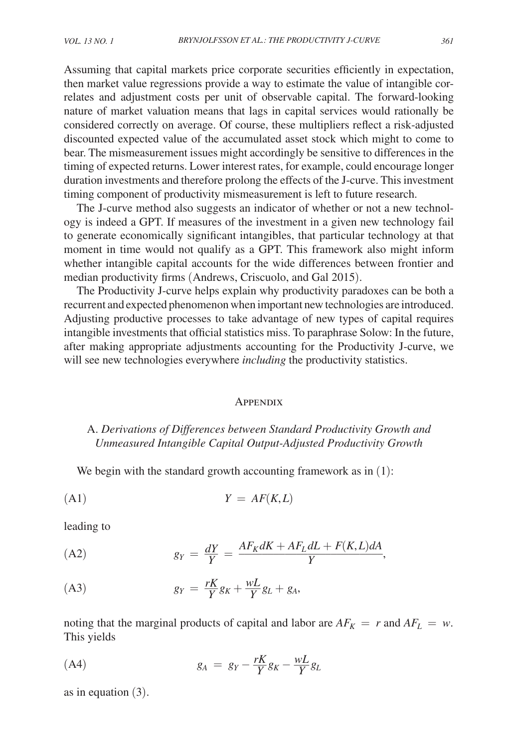Assuming that capital markets price corporate securities efficiently in expectation, then market value regressions provide a way to estimate the value of intangible correlates and adjustment costs per unit of observable capital. The forward-looking nature of market valuation means that lags in capital services would rationally be considered correctly on average. Of course, these multipliers reflect a risk-adjusted discounted expected value of the accumulated asset stock which might to come to bear. The mismeasurement issues might accordingly be sensitive to differences in the timing of expected returns. Lower interest rates, for example, could encourage longer duration investments and therefore prolong the effects of the J-curve. This investment timing component of productivity mismeasurement is left to future research.

The J-curve method also suggests an indicator of whether or not a new technology is indeed a GPT. If measures of the investment in a given new technology fail to generate economically significant intangibles, that particular technology at that moment in time would not qualify as a GPT. This framework also might inform whether intangible capital accounts for the wide differences between frontier and median productivity firms (Andrews, Criscuolo, and Gal 2015).

The Productivity J-curve helps explain why productivity paradoxes can be both a recurrent and expected phenomenon when important new technologies are introduced. Adjusting productive processes to take advantage of new types of capital requires intangible investments that official statistics miss. To paraphrase Solow: In the future, after making appropriate adjustments accounting for the Productivity J-curve, we will see new technologies everywhere *including* the productivity statistics.

#### **APPENDIX**

# A. *Derivations of Differences between Standard Productivity Growth and Unmeasured Intangible Capital Output-Adjusted Productivity Growth*

We begin with the standard growth accounting framework as in  $(1)$ :

$$
Y = AF(K, L)
$$

leading to

leading to  
(A2) 
$$
g_Y = \frac{dY}{Y} = \frac{AF_K dK + AF_L dL + F(K, L) dA}{Y},
$$

$$
(A3) \t\t\t\t\t g_Y = \frac{rK}{Y}g_K + \frac{wL}{Y}g_L + g_A,
$$

noting that the marginal products of capital and labor are  $AF_K = r$  and  $AF_L = w$ . This yields

$$
(A4) \t\t\t g_A = g_Y - \frac{rK}{Y}g_K - \frac{wL}{Y}g_L
$$

as in equation (3).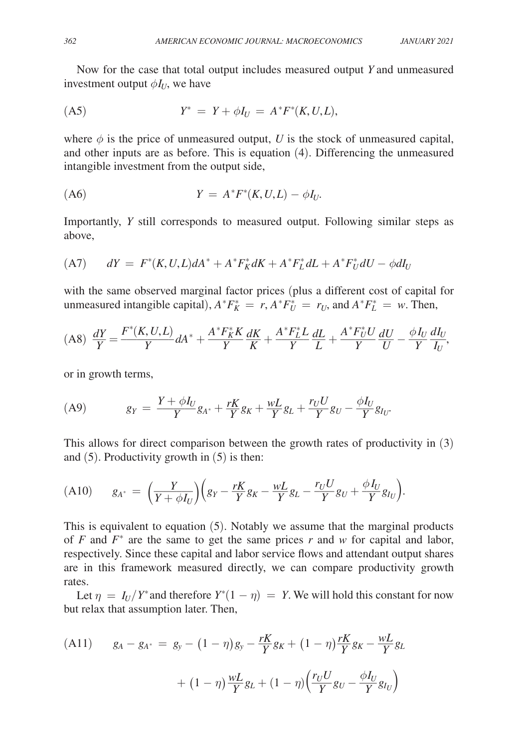Now for the case that total output includes measured output *Y* and unmeasured investment output  $\phi I_U$ , we have

(A5) 
$$
Y^* = Y + \phi I_U = A^* F^* (K, U, L),
$$

where  $\phi$  is the price of unmeasured output, *U* is the stock of unmeasured capital, and other inputs are as before. This is equation (4). Differencing the unmeasured intangible investment from the output side,

$$
(A6) \t\t Y = A^*F^*(K, U, L) - \phi I_U.
$$

Importantly, *Y* still corresponds to measured output. Following similar steps as above,

(A7) 
$$
dY = F^*(K, U, L)dA^* + A^*F_K^*dK + A^*F_L^*dL + A^*F_U^*dU - \phi dI_U
$$

with the same observed marginal factor prices (plus a different cost of capital for unmeasured intangible capital),  $A^* F_K^* = r$ ,  $A^* F_U^* = r_U$ , and  $A^* F_L^* = w$ . Then,

$$
(A8)\ \frac{dY}{Y} = \frac{F^*(K, U, L)}{Y} dA^* + \frac{A^* F_K^* K}{Y} \frac{dK}{K} + \frac{A^* F_L^* L}{Y} \frac{dL}{L} + \frac{A^* F_U^* U}{Y} \frac{dU}{U} - \frac{\phi I_U}{Y} \frac{dI_U}{I_U},
$$

or in growth terms,

(A9) 
$$
g_Y = \frac{Y + \phi I_U}{Y} g_{A^*} + \frac{rK}{Y} g_K + \frac{wL}{Y} g_L + \frac{r_U U}{Y} g_U - \frac{\phi I_U}{Y} g_{I_U}.
$$

This allows for direct comparison between the growth rates of productivity in (3) and  $(5)$ . Productivity growth in  $(5)$  is then:

$$
(A10) \t g_{A^*} = \left(\frac{Y}{Y+\phi I_U}\right)\left(g_Y - \frac{rK}{Y}g_K - \frac{wL}{Y}g_L - \frac{r_UU}{Y}g_U + \frac{\phi I_U}{Y}g_{I_U}\right).
$$

This is equivalent to equation (5). Notably we assume that the marginal products of  $F$  and  $F^*$  are the same to get the same prices  $r$  and  $w$  for capital and labor, respectively. Since these capital and labor service flows and attendant output shares are in this framework measured directly, we can compare productivity growth rates.

Let  $\eta = I_U/Y^*$  and therefore  $Y^*(1 - \eta) = Y$ . We will hold this constant for now but relax that assumption later. Then,

(A11) 
$$
g_A - g_{A^*} = g_y - (1 - \eta)g_y - \frac{rK}{Y}g_K + (1 - \eta)\frac{rK}{Y}g_K - \frac{wL}{Y}g_L
$$

$$
+ (1 - \eta)\frac{wL}{Y}g_L + (1 - \eta)\left(\frac{r_U U}{Y}g_U - \frac{\phi I_U}{Y}g_{I_U}\right)
$$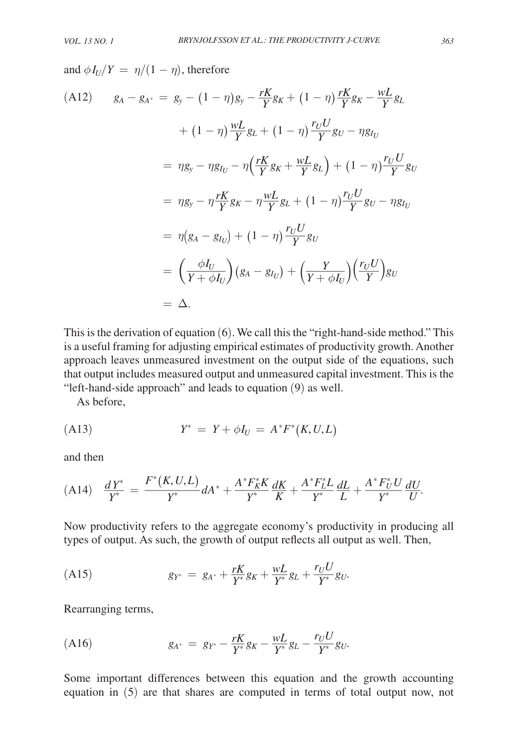$\overline{r}$ 

and  $\phi I_U/Y = \eta/(1-\eta)$ , therefore

$$
(A12) \quad g_A - g_{A^*} = g_y - (1 - \eta)g_y - \frac{rK}{Y}g_K + (1 - \eta)\frac{rK}{Y}g_K - \frac{wL}{Y}g_L
$$

$$
+ (1 - \eta)\frac{wL}{Y}g_L + (1 - \eta)\frac{r_UU}{Y}g_U - \eta g_{I_U}
$$

$$
= \eta g_y - \eta g_{I_U} - \eta \left(\frac{rK}{Y}g_K + \frac{wL}{Y}g_L\right) + (1 - \eta)\frac{r_UU}{Y}g_U
$$

$$
= \eta g_y - \eta\frac{rK}{Y}g_K - \eta\frac{wL}{Y}g_L + (1 - \eta)\frac{r_UU}{Y}g_U - \eta g_{I_U}
$$

$$
= \eta \left(g_A - g_{I_U}\right) + (1 - \eta)\frac{r_UU}{Y}g_U
$$

$$
= \left(\frac{\phi I_U}{Y + \phi I_U}\right)\left(g_A - g_{I_U}\right) + \left(\frac{Y}{Y + \phi I_U}\right)\left(\frac{r_UU}{Y}\right)g_U
$$

$$
= \Delta.
$$

This is the derivation of equation (6). We call this the " right-hand-side method." This is a useful framing for adjusting empirical estimates of productivity growth. Another approach leaves unmeasured investment on the output side of the equations, such that output includes measured output and unmeasured capital investment. This is the "left-hand-side approach" and leads to equation (9) as well.

As before,

(A13) 
$$
Y^* = Y + \phi I_U = A^* F^* (K, U, L)
$$

and then

$$
(A14) \quad \frac{dY^*}{Y^*} = \frac{F^*(K, U, L)}{Y^*} dA^* + \frac{A^* F_K^* K}{Y^*} \frac{dK}{K} + \frac{A^* F_L^* L}{Y^*} \frac{dL}{L} + \frac{A^* F_U^* U}{Y^*} \frac{dU}{U}.
$$

Now productivity refers to the aggregate economy's productivity in producing all types of output. As such, the growth of output reflects all output as well. Then,

(A15) 
$$
g_{Y^*} = g_{A^*} + \frac{rK}{Y^*}g_K + \frac{wL}{Y^*}g_L + \frac{r_UU}{Y^*}g_U.
$$

Rearranging terms,

(A16) 
$$
g_{A^*} = g_{Y^*} - \frac{rK}{Y^*}g_K - \frac{wL}{Y^*}g_L - \frac{r_UU}{Y^*}g_U.
$$

Some important differences between this equation and the growth accounting equation in (5) are that shares are computed in terms of total output now, not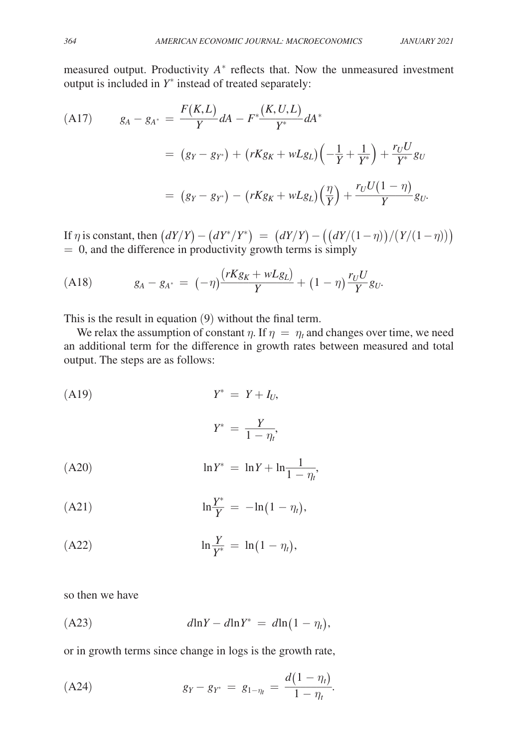measured output. Productivity  $A^*$  reflects that. Now the unmeasured investment output is included in  $Y^*$  instead of treated separately:

(A17) 
$$
g_A - g_{A^*} = \frac{F(K, L)}{Y} dA - F^* \frac{(K, U, L)}{Y^*} dA^*
$$
  

$$
= (g_Y - g_{Y^*}) + (rKg_K + wLg_L) \left(-\frac{1}{Y} + \frac{1}{Y^*}\right) + \frac{r_U U}{Y^*} g_U
$$
  

$$
= (g_Y - g_{Y^*}) - (rKg_K + wLg_L) \left(\frac{\eta}{Y}\right) + \frac{r_U U(1 - \eta)}{Y} g_U.
$$

If *η* is constant, then  $(dY/Y) - (dY^*/Y^*) = (dY/Y) - ((dY/(1 - η))/(Y/(1 − η)))$ 

= 0, and the difference in productivity growth terms is simply  
\n(A18) 
$$
g_A - g_{A^*} = (-\eta) \frac{(rKg_K + wLg_L)}{Y} + (1 - \eta) \frac{r_U U}{Y} g_U.
$$

This is the result in equation (9) without the final term.

We relax the assumption of constant  $\eta$ . If  $\eta = \eta_t$  and changes over time, we need an additional term for the difference in growth rates between measured and total output. The steps are as follows:

(A19)  
\n
$$
Y^* = Y + I_U,
$$
\n
$$
Y^* = \frac{Y}{1 - \eta_t},
$$
\n(A20)  
\n
$$
\ln Y^* = \ln Y + \ln \frac{1}{1 - \eta_t},
$$
\n(A21)  
\n
$$
\ln \frac{Y^*}{Y} = -\ln(1 - \eta_t),
$$
\n(A22)  
\n
$$
\ln \frac{Y}{Y^*} = \ln(1 - \eta_t),
$$

so then we have

(A23) *d* ln*Y* − *d* ln *Y* ⁎ = *d* ln (1 − η*t*) ,

or in growth terms since change in logs is the growth rate,

(A24) 
$$
g_Y - g_{Y^*} = g_{1-\eta_t} = \frac{d(1-\eta_t)}{1-\eta_t}.
$$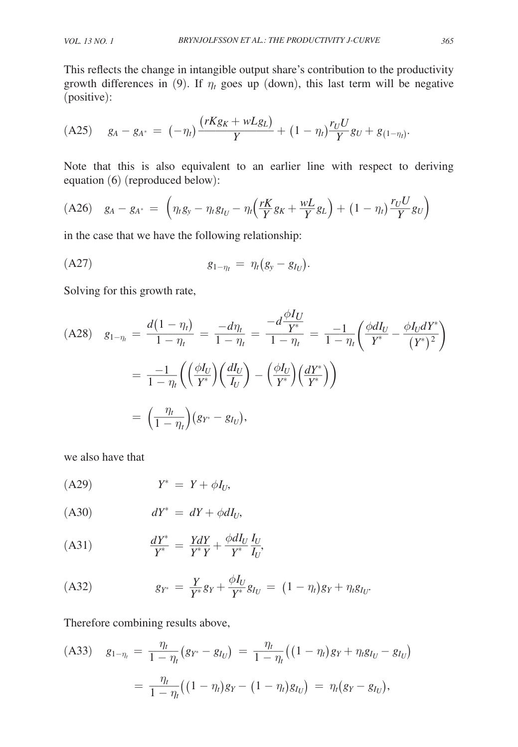This reflects the change in intangible output share's contribution to the productivity growth differences in (9). If  $\eta_t$  goes up (down), this last term will be negative (positive):

(positive):  
\n(A25) 
$$
g_A - g_{A^*} = (-\eta_t) \frac{(rKg_K + wLg_L)}{Y} + (1 - \eta_t) \frac{r_U U}{Y} g_U + g_{(1 - \eta_t)}
$$

Note that this is also equivalent to an earlier line with respect to deriving equation (6) (reproduced below):

$$
(A26) \quad g_A - g_{A^*} = \left( \eta_t g_y - \eta_t g_{I_U} - \eta_t \left( \frac{rK}{Y} g_K + \frac{wL}{Y} g_L \right) + (1 - \eta_t) \frac{r_U U}{Y} g_U \right)
$$

in the case that we have the following relationship:

(A27) 
$$
g_{1-\eta_t} = \eta_t (g_y - g_{I_U}).
$$

Solving for this growth rate,

(A28) 
$$
g_{1-\eta_t} = \frac{d(1-\eta_t)}{1-\eta_t} = \frac{-d\eta_t}{1-\eta_t} = \frac{-d\frac{\phi I_U}{Y^*}}{1-\eta_t} = \frac{-1}{1-\eta_t} \left(\frac{\phi dI_U}{Y^*} - \frac{\phi I_U dY^*}{(Y^*)^2}\right)
$$
  

$$
= \frac{-1}{1-\eta_t} \left(\left(\frac{\phi I_U}{Y^*}\right) \left(\frac{dI_U}{I_U}\right) - \left(\frac{\phi I_U}{Y^*}\right) \left(\frac{dY^*}{Y^*}\right)\right)
$$

$$
= \left(\frac{\eta_t}{1-\eta_t}\right) (g_{Y^*} - g_{I_U}),
$$

we also have that

$$
(A29) \tY^* = Y + \phi I_U,
$$

$$
(A30) \t dY^* = dY + \phi dI_U,
$$

$$
\text{(A31)} \quad \frac{dY^*}{Y^*} = \frac{YdY}{Y^*Y} + \frac{\phi dI_U}{Y^*} \frac{I_U}{I_U},
$$

$$
(A32) \t\t\t g_{Y^*} = \frac{Y}{Y^*}g_Y + \frac{\phi I_U}{Y^*}g_{I_U} = (1 - \eta_t)g_Y + \eta_t g_{I_U}.
$$

Therefore combining results above,

$$
\begin{aligned} \text{(A33)} \quad g_{1-\eta_t} &= \frac{\eta_t}{1-\eta_t} \big( g_{Y^*} - g_{I_U} \big) \, = \, \frac{\eta_t}{1-\eta_t} \big( \big( 1 - \eta_t \big) g_Y + \eta_t g_{I_U} - g_{I_U} \big) \\ &= \, \frac{\eta_t}{1-\eta_t} \big( \big( 1 - \eta_t \big) g_Y - \big( 1 - \eta_t \big) g_{I_U} \big) \, = \, \eta_t \big( g_Y - g_{I_U} \big), \end{aligned}
$$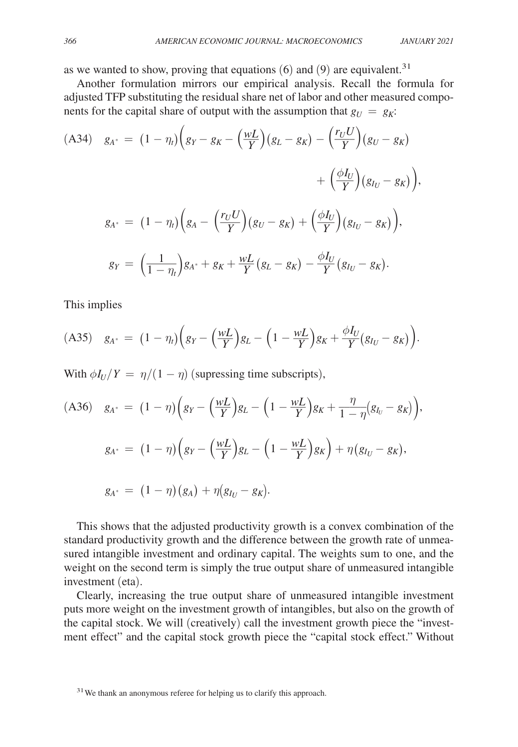as we wanted to show, proving that equations  $(6)$  and  $(9)$  are equivalent.<sup>31</sup>

Another formulation mirrors our empirical analysis. Recall the formula for adjusted TFP substituting the residual share net of labor and other measured components for the capital share of output with the assumption that  $g_U = g_K$ .

(A34) 
$$
g_{A^*} = (1 - \eta_t) \left( g_Y - g_K - \left( \frac{wL}{Y} \right) (g_L - g_K) - \left( \frac{r_U U}{Y} \right) (g_U - g_K) \right)
$$
  

$$
+ \left( \frac{\phi I_U}{Y} \right) (g_{I_U} - g_K) \Big),
$$

$$
g_{A^*} = (1 - \eta_t) \left( g_A - \left( \frac{r_U U}{Y} \right) (g_U - g_K) + \left( \frac{\phi I_U}{Y} \right) (g_{I_U} - g_K) \right),
$$

$$
g_Y = \left( \frac{1}{1 - \eta_t} \right) g_{A^*} + g_K + \frac{wL}{Y} (g_L - g_K) - \frac{\phi I_U}{Y} (g_{I_U} - g_K).
$$

This implies

$$
(A35) \quad g_{A^*} = (1 - \eta_t) \bigg( g_Y - \bigg( \frac{wL}{Y} \bigg) g_L - \bigg( 1 - \frac{wL}{Y} \bigg) g_K + \frac{\phi I_U}{Y} (g_{I_U} - g_K) \bigg).
$$

With  $\phi I_U/Y = \eta/(1-\eta)$  (supressing time subscripts),

(A36) 
$$
g_{A^*} = (1 - \eta) \left( g_Y - \left( \frac{wL}{Y} \right) g_L - \left( 1 - \frac{wL}{Y} \right) g_K + \frac{\eta}{1 - \eta} (g_{I_U} - g_K) \right),
$$
  
\n $g_{A^*} = (1 - \eta) \left( g_Y - \left( \frac{wL}{Y} \right) g_L - \left( 1 - \frac{wL}{Y} \right) g_K \right) + \eta (g_{I_U} - g_K),$   
\n $g_{A^*} = (1 - \eta) (g_A) + \eta (g_{I_U} - g_K).$ 

This shows that the adjusted productivity growth is a convex combination of the standard productivity growth and the difference between the growth rate of unmeasured intangible investment and ordinary capital. The weights sum to one, and the weight on the second term is simply the true output share of unmeasured intangible investment (eta).

Clearly, increasing the true output share of unmeasured intangible investment puts more weight on the investment growth of intangibles, but also on the growth of the capital stock. We will (creatively) call the investment growth piece the "investment effect" and the capital stock growth piece the "capital stock effect." Without

<sup>&</sup>lt;sup>31</sup> We thank an anonymous referee for helping us to clarify this approach.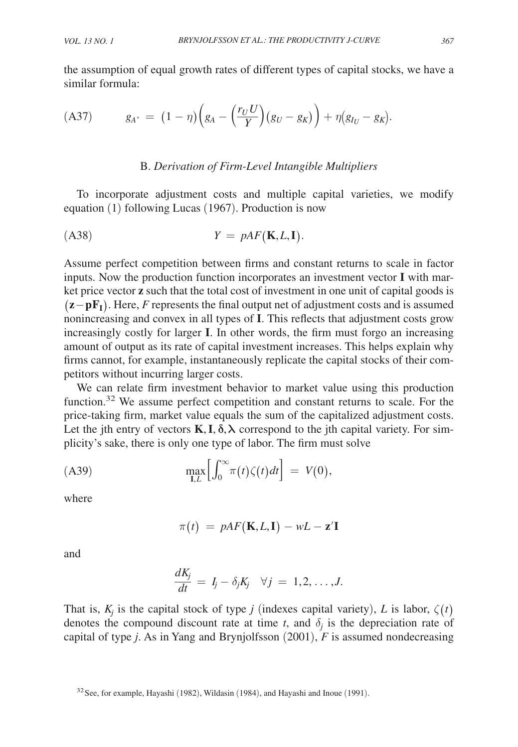the assumption of equal growth rates of different types of capital stocks, we have a similar formula:

$$
(A37) \t\t g_{A^*} = (1 - \eta) \left( g_A - \left( \frac{r_U U}{Y} \right) (g_U - g_K) \right) + \eta (g_{I_U} - g_K).
$$

# B. *Derivation of Firm-Level Intangible Multipliers*

To incorporate adjustment costs and multiple capital varieties, we modify equation (1) following Lucas (1967). Production is now

$$
(A38) \tY = pAF(K, L, I).
$$

Assume perfect competition between firms and constant returns to scale in factor inputs. Now the production function incorporates an investment vector **I** with market price vector **z** such that the total cost of investment in one unit of capital goods is ( **z** − **p FI**) . Here, *F* represents the final output net of adjustment costs and is assumed nonincreasing and convex in all types of **I**. This reflects that adjustment costs grow increasingly costly for larger **I**. In other words, the firm must forgo an increasing amount of output as its rate of capital investment increases. This helps explain why firms cannot, for example, instantaneously replicate the capital stocks of their competitors without incurring larger costs.

We can relate firm investment behavior to market value using this production function.<sup>32</sup> We assume perfect competition and constant returns to scale. For the price-taking firm, market value equals the sum of the capitalized adjustment costs. Let the jth entry of vectors  $\mathbf{K}, \mathbf{I}, \delta, \lambda$  correspond to the jth capital variety. For simplicity's sake, there is only one type of labor. The firm must solve

$$
\max_{\mathbf{I},L} \left[ \int_0^\infty \pi(t) \zeta(t) dt \right] = V(0),
$$

where

$$
\pi(t) \ = \ pAF(\mathbf{K}, L, \mathbf{I}) - wL - \mathbf{z}'\mathbf{I}
$$

and

$$
\frac{dK_j}{dt} = I_j - \delta_j K_j \quad \forall j = 1, 2, \ldots, J.
$$

That is,  $K_j$  is the capital stock of type *j* (indexes capital variety), *L* is labor,  $\zeta(t)$ denotes the compound discount rate at time  $t$ , and  $\delta_j$  is the depreciation rate of capital of type *j*. As in Yang and Brynjolfsson (2001), *F* is assumed nondecreasing

 $32$  See, for example, Hayashi (1982), Wildasin (1984), and Hayashi and Inoue (1991).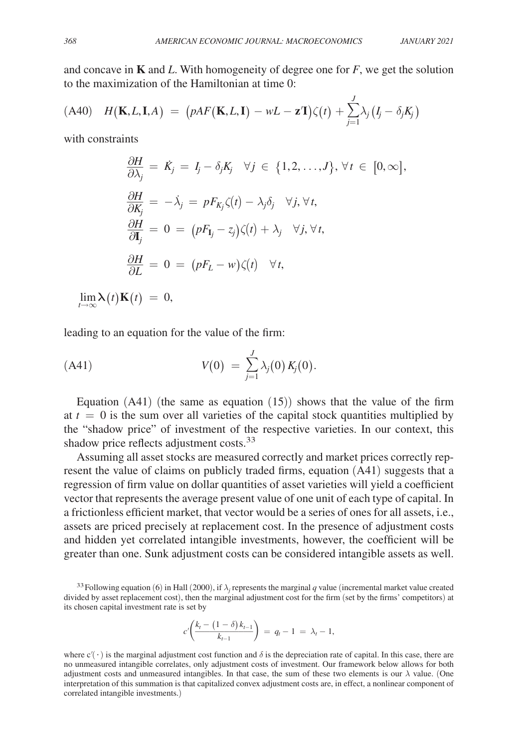and concave in  $\bf{K}$  and  $\bf{L}$ . With homogeneity of degree one for  $\bf{F}$ , we get the solution to the maximization of the Hamiltonian at time 0:

$$
(A40) \quad H(\mathbf{K},L,\mathbf{I},A) = (pAF(\mathbf{K},L,\mathbf{I}) - wL - \mathbf{z}^{\mathsf{T}})\zeta(t) + \sum_{j=1}^{J} \lambda_j (I_j - \delta_j K_j)
$$

with constraints

$$
\frac{\partial H}{\partial \lambda_j} = \dot{K}_j = I_j - \delta_j K_j \quad \forall j \in \{1, 2, ..., J\}, \forall t \in [0, \infty],
$$
  

$$
\frac{\partial H}{\partial K_j} = -\dot{\lambda}_j = p F_{K_j} \zeta(t) - \lambda_j \delta_j \quad \forall j, \forall t,
$$
  

$$
\frac{\partial H}{\partial I_j} = 0 = (p F_{I_j} - z_j) \zeta(t) + \lambda_j \quad \forall j, \forall t,
$$
  

$$
\frac{\partial H}{\partial L} = 0 = (p F_L - w) \zeta(t) \quad \forall t,
$$

 $\lim_{t\to\infty} \lambda(t) \mathbf{K}(t) = 0,$ 

leading to an equation for the value of the firm:

(A41) 
$$
V(0) = \sum_{j=1}^{J} \lambda_j(0) K_j(0).
$$

Equation  $(A41)$  (the same as equation  $(15)$ ) shows that the value of the firm at  $t = 0$  is the sum over all varieties of the capital stock quantities multiplied by the "shadow price" of investment of the respective varieties. In our context, this shadow price reflects adjustment costs.<sup>33</sup>

Assuming all asset stocks are measured correctly and market prices correctly represent the value of claims on publicly traded firms, equation (A41) suggests that a regression of firm value on dollar quantities of asset varieties will yield a coefficient vector that represents the average present value of one unit of each type of capital. In a frictionless efficient market, that vector would be a series of ones for all assets, i.e., assets are priced precisely at replacement cost. In the presence of adjustment costs and hidden yet correlated intangible investments, however, the coefficient will be greater than one. Sunk adjustment costs can be considered intangible assets as well.

<sup>33</sup> Following equation (6) in Hall (2000), if  $\lambda_j$  represents the marginal *q* value (incremental market value created divided by asset replacement cost), then the marginal adjustment cost for the firm (set by the firms' competitors) at its chosen capital investment rate is set by

its chosen capital investment rate is set by
$$
c'\left(\frac{k_t - (1 - \delta)k_{t-1}}{k_{t-1}}\right) = q_t - 1 = \lambda_t - 1,
$$

where  $c'(\cdot)$  is the marginal adjustment cost function and  $\delta$  is the depreciation rate of capital. In this case, there are no unmeasured intangible correlates, only adjustment costs of investment. Our framework below allows for both adjustment costs and unmeasured intangibles. In that case, the sum of these two elements is our  $\lambda$  value. (One interpretation of this summation is that capitalized convex adjustment costs are, in effect, a nonlinear component of correlated intangible investments.)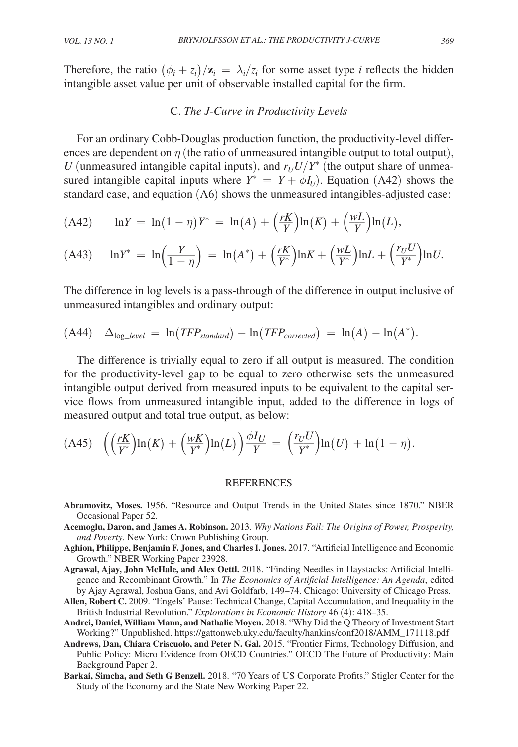Therefore, the ratio  $(\phi_i + z_i)/\mathbf{z}_i = \lambda_i/z_i$  for some asset type *i* reflects the hidden intangible asset value per unit of observable installed capital for the firm.

#### C. *The J-Curve in Productivity Levels*

For an ordinary Cobb-Douglas production function, the productivity-level differences are dependent on  $\eta$  (the ratio of unmeasured intangible output to total output), *U* (unmeasured intangible capital inputs), and  $r_U U/Y^*$  (the output share of unmeasured intangible capital inputs where  $Y^* = Y + \phi I_U$ ). Equation (A42) shows the standard case, and equation (A6) shows the unmeasured intangibles-adjusted case:

(A42) 
$$
\ln Y = \ln(1 - \eta)Y^* = \ln(A) + (\frac{rK}{Y})\ln(K) + (\frac{wL}{Y})\ln(L),
$$

(A43) 
$$
\ln Y^* = \ln\left(\frac{Y}{1-\eta}\right) = \ln(A^*) + \left(\frac{rK}{Y^*}\right)\ln K + \left(\frac{wL}{Y^*}\right)\ln L + \left(\frac{r_UU}{Y^*}\right)\ln U.
$$

The difference in log levels is a pass-through of the difference in output inclusive of unmeasured intangibles and ordinary output:

$$
(A44) \quad \Delta_{log\_level} = \ln(TFP_{standard}) - \ln(TFP_{corrected}) = \ln(A) - \ln(A^*).
$$

The difference is trivially equal to zero if all output is measured. The condition for the productivity-level gap to be equal to zero otherwise sets the unmeasured intangible output derived from measured inputs to be equivalent to the capital service flows from unmeasured intangible input, added to the difference in logs of measured output and total true output, as below:

$$
(A45)\quad \left(\left(\frac{rK}{Y^*}\right)\ln(K) + \left(\frac{wK}{Y^*}\right)\ln(L)\right)\frac{\phi I_U}{Y} = \left(\frac{r_U U}{Y^*}\right)\ln(U) + \ln(1-\eta).
$$

#### **REFERENCES**

- **Abramovitz, Moses.** 1956. "Resource and Output Trends in the United States since 1870." NBER Occasional Paper 52.
- **Acemoglu, Daron, and James A. Robinson.** 2013. *Why Nations Fail: The Origins of Power, Prosperity, and Poverty*. New York: Crown Publishing Group.
- **Aghion, Philippe, Benjamin F. Jones, and Charles I. Jones.** 2017. "Artificial Intelligence and Economic Growth." NBER Working Paper 23928.
- **Agrawal, Ajay, John McHale, and Alex Oettl.** 2018. "Finding Needles in Haystacks: Artificial Intelligence and Recombinant Growth." In *The Economics of Artificial Intelligence: An Agenda*, edited by Ajay Agrawal, Joshua Gans, and Avi Goldfarb, 149–74. Chicago: University of Chicago Press.
- **Allen, Robert C.** 2009. "Engels' Pause: Technical Change, Capital Accumulation, and Inequality in the British Industrial Revolution." *Explorations in Economic History* 46 (4): 418–35.
- **Andrei, Daniel, William Mann, and Nathalie Moyen.** 2018. "Why Did the Q Theory of Investment Start Working?" Unpublished. https://gattonweb.uky.edu/faculty/hankins/conf2018/AMM\_171118.pdf
- **Andrews, Dan, Chiara Criscuolo, and Peter N. Gal.** 2015. "Frontier Firms, Technology Diffusion, and Public Policy: Micro Evidence from OECD Countries." OECD The Future of Productivity: Main Background Paper 2.
- **Barkai, Simcha, and Seth G Benzell.** 2018. "70 Years of US Corporate Profits." Stigler Center for the Study of the Economy and the State New Working Paper 22.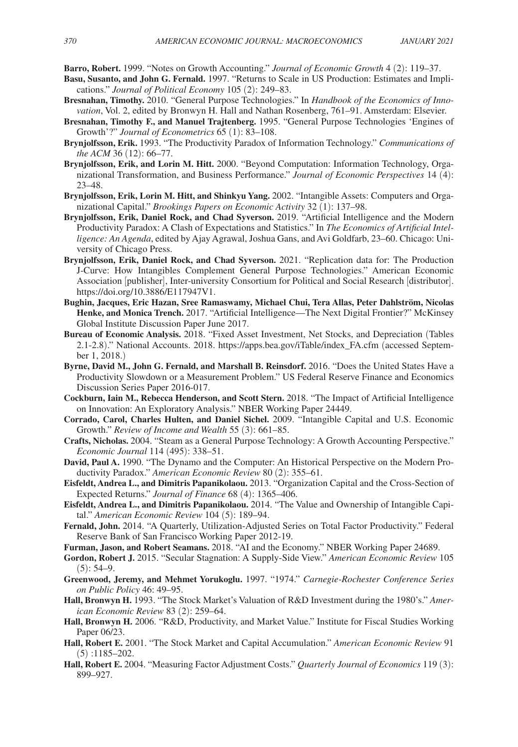**Barro, Robert.** 1999. "Notes on Growth Accounting." *Journal of Economic Growth* 4 (2): 119–37.

- **Basu, Susanto, and John G. Fernald.** 1997. "Returns to Scale in US Production: Estimates and Implications." *Journal of Political Economy* 105 (2): 249–83.
- **Bresnahan, Timothy.** 2010. "General Purpose Technologies." In *Handbook of the Economics of Innovation*, Vol. 2, edited by Bronwyn H. Hall and Nathan Rosenberg, 761–91. Amsterdam: Elsevier.
- **Bresnahan, Timothy F., and Manuel Trajtenberg.** 1995. "General Purpose Technologies 'Engines of Growth'?" *Journal of Econometrics* 65 (1): 83–108.
- **Brynjolfsson, Erik.** 1993. "The Productivity Paradox of Information Technology." *Communications of the ACM* 36 (12): 66–77.
- **Brynjolfsson, Erik, and Lorin M. Hitt.** 2000. "Beyond Computation: Information Technology, Organizational Transformation, and Business Performance." *Journal of Economic Perspectives* 14 (4): 23–48.
- **Brynjolfsson, Erik, Lorin M. Hitt, and Shinkyu Yang.** 2002. "Intangible Assets: Computers and Organizational Capital." *Brookings Papers on Economic Activity* 32 (1): 137–98.
- **Brynjolfsson, Erik, Daniel Rock, and Chad Syverson.** 2019. "Artificial Intelligence and the Modern Productivity Paradox: A Clash of Expectations and Statistics." In *The Economics of Artificial Intelligence: An Agenda*, edited by Ajay Agrawal, Joshua Gans, and Avi Goldfarb, 23–60. Chicago: University of Chicago Press.
- **Brynjolfsson, Erik, Daniel Rock, and Chad Syverson.** 2021. "Replication data for: The Production J-Curve: How Intangibles Complement General Purpose Technologies." American Economic Association [publisher], Inter-university Consortium for Political and Social Research [distributor]. https://doi.org/10.3886/E117947V1.
- **Bughin, Jacques, Eric Hazan, Sree Ramaswamy, Michael Chui, Tera Allas, Peter Dahlström, Nicolas Henke, and Monica Trench.** 2017. "Artificial Intelligence—The Next Digital Frontier?" McKinsey Global Institute Discussion Paper June 2017.
- **Bureau of Economic Analysis.** 2018. "Fixed Asset Investment, Net Stocks, and Depreciation (Tables 2.1-2.8)." National Accounts. 2018. https://apps.bea.gov/iTable/index\_FA.cfm (accessed September 1, 2018.)
- **Byrne, David M., John G. Fernald, and Marshall B. Reinsdorf.** 2016. "Does the United States Have a Productivity Slowdown or a Measurement Problem." US Federal Reserve Finance and Economics Discussion Series Paper 2016-017.
- **Cockburn, Iain M., Rebecca Henderson, and Scott Stern.** 2018. "The Impact of Artificial Intelligence on Innovation: An Exploratory Analysis." NBER Working Paper 24449.
- **Corrado, Carol, Charles Hulten, and Daniel Sichel.** 2009. "Intangible Capital and U.S. Economic Growth." *Review of Income and Wealth* 55 (3): 661–85.
- **Crafts, Nicholas.** 2004. "Steam as a General Purpose Technology: A Growth Accounting Perspective." *Economic Journal* 114 (495): 338–51.
- **David, Paul A.** 1990. "The Dynamo and the Computer: An Historical Perspective on the Modern Productivity Paradox." *American Economic Review* 80 (2): 355–61.
- **Eisfeldt, Andrea L., and Dimitris Papanikolaou.** 2013. "Organization Capital and the Cross-Section of Expected Returns." *Journal of Finance* 68 (4): 1365–406.
- **Eisfeldt, Andrea L., and Dimitris Papanikolaou.** 2014. "The Value and Ownership of Intangible Capital." *American Economic Review* 104 (5): 189–94.
- **Fernald, John.** 2014. "A Quarterly, Utilization-Adjusted Series on Total Factor Productivity." Federal Reserve Bank of San Francisco Working Paper 2012-19.
- **Furman, Jason, and Robert Seamans.** 2018. "AI and the Economy." NBER Working Paper 24689.
- **Gordon, Robert J.** 2015. "Secular Stagnation: A Supply-Side View." *American Economic Review* 105  $(5): 54-9.$
- **Greenwood, Jeremy, and Mehmet Yorukoglu.** 1997. "1974." *Carnegie-Rochester Conference Series on Public Policy* 46: 49–95.
- **Hall, Bronwyn H.** 1993. "The Stock Market's Valuation of R&D Investment during the 1980's." *American Economic Review* 83 (2): 259–64.
- **Hall, Bronwyn H.** 2006. "R&D, Productivity, and Market Value." Institute for Fiscal Studies Working Paper 06/23.
- **Hall, Robert E.** 2001. "The Stock Market and Capital Accumulation." *American Economic Review* 91 (5) :1185–202.
- **Hall, Robert E.** 2004. "Measuring Factor Adjustment Costs." *Quarterly Journal of Economics* 119 (3): 899–927.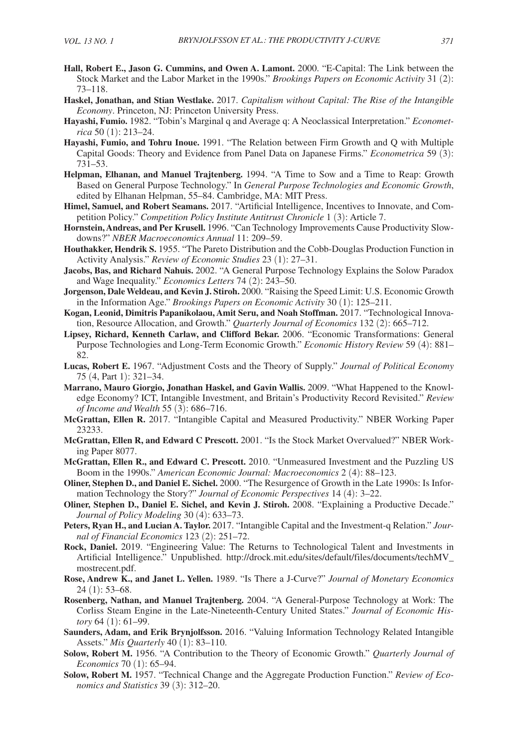- **Hall, Robert E., Jason G. Cummins, and Owen A. Lamont.** 2000. "E-Capital: The Link between the Stock Market and the Labor Market in the 1990s." *Brookings Papers on Economic Activity* 31 (2): 73–118.
- **Haskel, Jonathan, and Stian Westlake.** 2017. *Capitalism without Capital: The Rise of the Intangible Economy*. Princeton, NJ: Princeton University Press.
- **Hayashi, Fumio.** 1982. "Tobin's Marginal q and Average q: A Neoclassical Interpretation." *Econometrica* 50 (1): 213–24.
- **Hayashi, Fumio, and Tohru Inoue.** 1991. "The Relation between Firm Growth and Q with Multiple Capital Goods: Theory and Evidence from Panel Data on Japanese Firms." *Econometrica* 59 (3): 731–53.
- **Helpman, Elhanan, and Manuel Trajtenberg.** 1994. "A Time to Sow and a Time to Reap: Growth Based on General Purpose Technology." In *General Purpose Technologies and Economic Growth*, edited by Elhanan Helpman, 55–84. Cambridge, MA: MIT Press.
- **Himel, Samuel, and Robert Seamans.** 2017. "Artificial Intelligence, Incentives to Innovate, and Competition Policy." *Competition Policy Institute Antitrust Chronicle* 1 (3): Article 7.
- **Hornstein, Andreas, and Per Krusell.** 1996. "Can Technology Improvements Cause Productivity Slowdowns?" *NBER Macroeconomics Annual* 11: 209–59.
- **Houthakker, Hendrik S.** 1955. "The Pareto Distribution and the Cobb-Douglas Production Function in Activity Analysis." *Review of Economic Studies* 23 (1): 27–31.
- **Jacobs, Bas, and Richard Nahuis.** 2002. "A General Purpose Technology Explains the Solow Paradox and Wage Inequality." *Economics Letters* 74 (2): 243–50.
- **Jorgenson, Dale Weldeau, and Kevin J. Stiroh.** 2000. "Raising the Speed Limit: U.S. Economic Growth in the Information Age." *Brookings Papers on Economic Activity* 30 (1): 125–211.
- **Kogan, Leonid, Dimitris Papanikolaou, Amit Seru, and Noah Stoffman.** 2017. "Technological Innovation, Resource Allocation, and Growth." *Quarterly Journal of Economics* 132 (2): 665–712.
- **Lipsey, Richard, Kenneth Carlaw, and Clifford Bekar.** 2006. "Economic Transformations: General Purpose Technologies and Long-Term Economic Growth." *Economic History Review* 59 (4): 881– 82.
- **Lucas, Robert E.** 1967. "Adjustment Costs and the Theory of Supply." *Journal of Political Economy* 75 (4, Part 1): 321–34.
- **Marrano, Mauro Giorgio, Jonathan Haskel, and Gavin Wallis.** 2009. "What Happened to the Knowledge Economy? ICT, Intangible Investment, and Britain's Productivity Record Revisited." *Review of Income and Wealth* 55 (3): 686–716.
- **McGrattan, Ellen R.** 2017. "Intangible Capital and Measured Productivity." NBER Working Paper 23233.
- **McGrattan, Ellen R, and Edward C Prescott.** 2001. "Is the Stock Market Overvalued?" NBER Working Paper 8077.
- **McGrattan, Ellen R., and Edward C. Prescott.** 2010. "Unmeasured Investment and the Puzzling US Boom in the 1990s." *American Economic Journal: Macroeconomics* 2 (4): 88–123.
- **Oliner, Stephen D., and Daniel E. Sichel.** 2000. "The Resurgence of Growth in the Late 1990s: Is Information Technology the Story?" *Journal of Economic Perspectives* 14 (4): 3–22.
- **Oliner, Stephen D., Daniel E. Sichel, and Kevin J. Stiroh.** 2008. "Explaining a Productive Decade." *Journal of Policy Modeling* 30 (4): 633–73.
- **Peters, Ryan H., and Lucian A. Taylor.** 2017. "Intangible Capital and the Investment-q Relation." *Journal of Financial Economics* 123 (2): 251–72.
- **Rock, Daniel.** 2019. "Engineering Value: The Returns to Technological Talent and Investments in Artificial Intelligence." Unpublished. http://drock.mit.edu/sites/default/files/documents/techMV\_ mostrecent.pdf.
- **Rose, Andrew K., and Janet L. Yellen.** 1989. "Is There a J-Curve?" *Journal of Monetary Economics* 24 (1): 53–68.
- **Rosenberg, Nathan, and Manuel Trajtenberg.** 2004. "A General-Purpose Technology at Work: The Corliss Steam Engine in the Late-Nineteenth-Century United States." *Journal of Economic History* 64 (1): 61–99.
- **Saunders, Adam, and Erik Brynjolfsson.** 2016. "Valuing Information Technology Related Intangible Assets." *Mis Quarterly* 40 (1): 83–110.
- **Solow, Robert M.** 1956. "A Contribution to the Theory of Economic Growth." *Quarterly Journal of Economics* 70 (1): 65–94.
- **Solow, Robert M.** 1957. "Technical Change and the Aggregate Production Function." *Review of Economics and Statistics* 39 (3): 312–20.